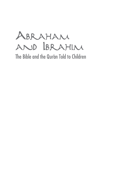Abraham and Ibrahim

The Bible and the Qur'an Told to Children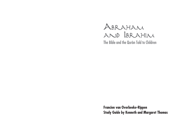# Abraham AND BRAHIM The Bible and the Qur'an Told to Children

**Francien van Overbeeke-Rippen Study Guide by Kenneth and Margaret Thomas**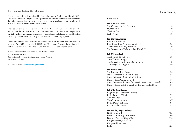© 2014 Stichting Trialoog, The Netherlands

This book was originally published by Bridge Resources, Presbyterian Church (USA), Louisville Kentucky. The publishing agreements have meanwhile been terminated and the rights reverted back to the writer and translator, who also received the electronic files of the book to enable its free distribution.

The electronic version of this book has been made possible by Janine Wolters, who reformatted the original documents. This electronic book may in its integrality or partially without any further alterations be reproduced and shared on condition that credit is given to the source. It may not be used for commercial purposes.

Unless otherwise noted, Scripture quotations are from the New Revised Standard Version of the Bible, copyright © 1989 by the Division of Christian Education of the National Council of the Churches of Christ in the U.S.A. Used by permission.

Writer and translator: Francien van Overbeeke-Rippen Editor: Tricia Tedrow Book interior by Jeanne Williams and Janine Wolters ISBN: 1-57153-072-X

Web site address: [www.stichting-trialoog.nl](http://www.stichting-trialoog.nl)

## CONITENITS

| Introduction                                                                                                                                                                                                                                             | $\mathbf{1}$                           |
|----------------------------------------------------------------------------------------------------------------------------------------------------------------------------------------------------------------------------------------------------------|----------------------------------------|
| <b>Unit 1 The First Stories</b><br>The Creator and the Creation<br>Humankind<br>The First Sons<br>Nuh/Noah                                                                                                                                               | 3<br>9<br>13<br>17                     |
| Unit 2 Ibrahim/Abraham<br>Ibrahim/Abraham<br>Ibrahim and Lut/Abraham and Lot<br>The Sons of Ibrahim/Abraham<br>The Sons of Isma'il/Ishmael and Ishak/Isaac                                                                                               | 23<br>25<br>29<br>33                   |
| Unit 3 Ya'kub/Jacob<br>The Sons of Ya'kub/Jacob<br>Yusef/Joseph in Egypt<br>The Sons of Ya'kub/Jacob Go to Egypt<br>Ya'kub/Jacob in Egypt                                                                                                                | 37<br>39<br>43<br>49                   |
| Unit 4 Musa/Moses<br>The Birth of Musa/Moses<br>Musa/Moses in the Royal Palace<br>Musa/Moses in the Land of Midian<br>Musa/Moses Called by God<br>Musa/Moses and Harun/Aaron Go to Fir'awn/Pharaoh<br>Musa/Moses with the Israelites through the Red Sea | 53<br>57<br>59<br>61<br>65<br>71       |
| <b>Unit 5 The Desert Journey</b><br>Beginning of the Desert Journey<br>In the Desert of Sinai<br>God and Idol<br>The Commandments<br>In the Desert of Paran<br><b>Back into the Desert</b>                                                               | 75<br>79<br>81<br>87<br>91<br>99       |
| Unit 6 Guides, Judges, and Kings<br>Guides and Judges<br>Israel's First King—Talut/Saul<br>Dawud/David—King of Israel<br>King Sulaiman/Solomon<br>Kings and Prophets<br>Exile                                                                            | 105<br>109<br>113<br>117<br>121<br>125 |
|                                                                                                                                                                                                                                                          |                                        |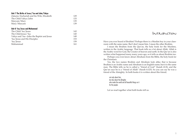### **Unit 7 The Births of Jesus/'Isa and John/Yahya**

| Unit 8 'Isa/Jesus and Muhammad            |     |
|-------------------------------------------|-----|
| Mary/Maryam                               | 139 |
| Maryam/Mary                               | 135 |
| The Child Yahya/John                      | 133 |
| Zakaria/Zachariah and his Wife, Elizabeth | 129 |

| The Child 'Isa/Jesus                      | 143 |
|-------------------------------------------|-----|
| The Child Jesus/'Isa                      | 145 |
| Yahya and 'Isa-John the Baptist and Jesus | 149 |
| 'Isa/Jesus and His Disciples              | 153 |
| 'Isa/Iesus                                | 159 |
| Muhammad                                  | 161 |
|                                           |     |

### Introduction

Have you ever heard of Ibrahim? Perhaps there is a Muslim boy in your classroom with the same name. But I don't mean him. I mean the other Ibrahim.

I mean the Ibrahim from the Qur'an, the holy book for the Muslims, written in the Arabic language. That book tells us a lot about Allah. Allah is the Arabic word for God, the Creator of heaven and earth. In the Qur'an is also written what happened many many years ago, so it tells us about Ibrahim too.

Perhaps you even know about Abraham from the Bible, the holy book for the Christians.

Yes, the two names Ibrahim and Abraham look alike; that is because Ibrahim is an Arabic name and Abraham is an English name; but it is the same man. The Bible tells us he is called a "friend of God" (Isaiah 41:8), and the Qur'an says he is a "friend of Allah" (Surah 4:125). So you can say he was a friend of the Almighty. In both books it is written about this friend;

not only about him, but also about the Almighty who made the world and all beautiful things on it for the people.

Let us read together what both books tell us.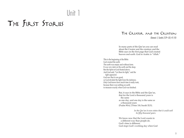# Unit 1

# The First Stories

## The Creator and the Creation

*(Genesis 1; Surahs 2:29–33; 41:10)*

In many parts of the Qur'an you can read about the Creator and the creation; and the Bible says on the first page that God created heaven and earth. God in Arabic is "Allah."

This is the beginning of the Bible: God created the earth. The earth was empty and without form. It was very dark on the earth and the deep. But the Spirit of God floated above. And God said, "Let there be light," and the light appeared. God saw that it was good, so God divided the light from the darkness. Only God knows how much time it really took, because there was nothing on earth to measure exactly when God was finished.

> But, it says in the Bible and the Qur'an, that for the Lord a thousand years is the same as one day, and one day is the same as a thousand years (Psalm 90:4; 2 Peter 3:8; Surah 32:5).

> > *In the Qur'an it even states that it could well be fifty thousand years.*

We know now that the Lord counts in a different way than people do. God's time is different. God stops God's working day when God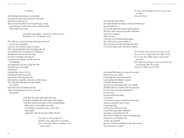wants to.

After the light and darkness were divided, God made a division between heaven and earth and between land and sea. Then God said that there has to be green grass, young plants that give seeds, and fruit trees with fruit, fruit with seeds for new trees;

> and then God spoke: "Let it be" and it was so (Genesis 1:11–13; Surah 2:117).

The earth was covered with trees and plants with seeds for new trees and plants. God saw what God had created was good. Then God said that there has to be light in the sky, so everything that lives and grows would know the difference between day and night. On God's word there came the sun as a sign for the daytime, and the moon for the nighttime; stars appeared in the sky to light the earth and show the way by night. And the sea? God said that it has to be alive with big and small sea animals, lots and lots of fish big and small, birds that fly around the earth and over the horizon. The Lord blessed the birds, the fish, and the sea animals. God made male and female and said, "There is enough space to live in, so go and be plentiful."

> God did not only look after the sea, God also looked after the land. God spoke, "On this earth there have to be living things, there have to be different sorts of animals, crawling ones, wild ones, and cattle" (Genesis 1:20–25; Surahs 24:45; 36:36).

> > *The Qur'an tells us that the animal's body shall give us warmth, food, and drink. Horses, donkeys, and mules shall*

*not only carry freight but you can also ride on them (Surah 16:5, 8).*

od created the wild animals and cattle with their own nature, even the ones that crawl, big and small ones. God created male and female of all the animals. The skies, earth, and seas were filled with them. God saw it was good. Then God said, "And now we will make human beings; they will be like us and resemble us; they will care for the fish, the birds, the cattle, yes, for the whole world with all the animals."

> *It is written in the Qur'an (Surah 112:4) that no one or thing looks like Allah (God), but it says that Allah spoke to the angels and said that Allah was going to create a human who would look after the world instead of Allah (Surah 2:30).*

God created the human as a man and a woman. First the man was created. God brought the man to the animals. God explained the different varieties with their different names, and for every male animal there was a female. The Bible tells us it was then that the man knew he was on his own and he had nobody; he was lonely. God did not like this either, so God said, "I will create a human companion for this man." And God caused the man to sleep, a deep long sleep; God took one of the man's ribs, covered the empty space with flesh, and made a woman from the rib. The Creator brought the woman to meet the man and the man saw himself in her and he was surprised. He said: "The bones and flesh are the same as mine. We are the same, a couple!"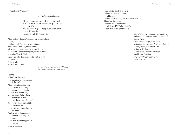### So he called her "woman."

*In Arabic she is Hawwa'.*

These two people were blessed by God. And God told them to be a couple and to be fruitful and become a great people, so the world would be filled (Genesis 1:26–28; Surah 4:1).

When God saw that God's creation was completed and good, God had a rest. The Lord blessed that day. It was called a holy day, the day of rest. It is a day for people to take a rest from their work and to thank God for all things bright and beautiful in creation (Genesis 2:1–3). Many years later there was a psalm written about the creation. A king wrote it. His name was "David."

*In the Qur'an his name is "Dawud," and there he is called a prophet.* 

### He sang:

"O Lord, our Sovereign, how majestic is your name in all the earth! When I look at your heavens, the work of your fingers, the moon and the stars that you have established, what are human beings that you are mindful of them, mortals that you care for them? Yet you have made them a little lower than God, and crowned them with glory and honor. You have given them dominion over the works of your hands; you have put all things under their feet, all sheep and oxen,

and also the beasts of the field, the birds of the air, and the fish of the sea, whatever passes along the paths of the seas. O Lord, our Sovereign, how majestic is your name in all the earth!" (Psalm 8:1a, 3–9) This creation psalm is in the Bible.

> *The Qur'an tells us about the Creator: Whatever is in Heaven and on the earth, praise Allah! For Allah is mighty and wise. Allah has the rule over heaven and earth. Allah gives life and takes life. Allah is Almighty. Allah is the First and the Last, visible and invisible, and Allah knows everything (Surah 57:1–3).*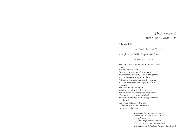## HUMANKIND

*(Genesis 3; Surahs 7:11–25; 20:115–123)*

Adam and Eve

*—in Arabic, Adam and Hawwa'—* 

were placed by God in the garden of Eden

*—Aden in the Qur'an.*

The name of Adam means "man taken from soil," and Eve means "life," for she is the mother of humankind. They were very happy to be in the garden. A river flowed through the place. All was green, growing, and flowering, and the trees were bearing fruit for the couple. The tree of everlasting life stood in the middle of the garden, as well as the tree that gives knowledge of what is good and what is bad. The fruit of the tree of knowledge was the only fruit they were not allowed to eat. If they did eat it, they would die. But once a satan came.

> *Previously the satan was an angel who quarreled with Allah; so Allah sent the angel away. Then this angel became a satan. The Qur'an says that this happened when Allah created Adam; the satan didn't want*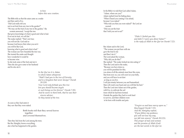### *to bow before this new creation.*

The Bible tells us that the satan came as a snake and then said to Eve, "Did God really tell you not to eat fruit from any tree in the garden?" "We may eat the fruit of any tree in the garden," the woman answered, "except the tree that gives knowledge of what is good and what is bad. If we eat its fruit, we will die." The snake replied: "That's not true; you will not die. God said so because God knows that when you eat it you will be like God, knowing what is good and what is bad." The woman saw how beautiful the tree was. She trusted the snake and thought how wonderful it would be to become wise. So she took some of the fruit and ate it. Then she also gave some to her husband and he also ate it.

> *In the Qur'an it is Adam to whom Satan whispered, "Shall I lead you to the tree of Eternity and to a kingdom that never decays? (Surah 20:120) Your Lord only forbade you this tree lest you should become angels or such beings as live forever" (Surah 7:20). And he swore to them both, that he was their sincere adviser. So they tasted of the tree.*

As soon as they had eaten it they saw that they were naked.

> Both books tell that they sewed leaves together and covered themselves.

Then they hid from the Lord among the trees. But the Almighty knows everything, also what has happened in the garden.

In the Bible it is told that God called Adam, "Adam, where are you?" Adam replied from his hiding place, "When I heard you coming I was afraid, because I was naked." "Who told you that you were naked?" the Lord answered. "Did you eat the fruit that I told you not to eat?"

> *"Didn't I forbid you this and didn't I warn you about Satan?" is the reply of Allah in the Qur'an (Surah 7:22).*

But Adam said to the Lord, "The woman you put here with me gave the fruit to me and then I ate it." The Lord asked the woman, "Why did you do this?" She replied: "The snake tricked me into eating it." Then the Lord said to the snake, "Because you have done so, you will be punished for this; you alone of all the animals must bear this curse, that from now on, you will crawl on your belly, and you will have to eat dust as long as you live. I will put enmity between you and humankind. Man will crush your head and you will bite his heel." Then the Lord sent Adam out of the garden, with Eve, to cultivate the soil from which he had been formed. Outside the garden they had to work hard to survive, and their children were to be born with trouble and pain.

> *"Forgive us and have mercy upon us," they begged (Surah 7:23). And the Almighty replied, "If you follow my guidance, you will not lose my way, nor fall into misery" (Surah 20:123). This prayer of man and woman and the promise of Allah (God) are the last words in the Qur'an*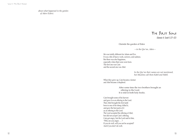*about what happened in the garden of Aden (Eden).*

## The First Sons

*(Genesis 4; Surah 5:27–32)*

Outside the garden of Eden

*—in the Qur'an, Aden—*

life was totally different for Adam and Eve. It was a life of heavy work, sorrows, and sadness. But there was also happiness, especially when their sons were born. The first one was Cain and the second one was Abel.

> *In the Qur'an their names are not mentioned, but Muslims call them Kabil and Habil.*

When they grew up, Cain became a farmer and Abel became a shepherd.

> After some time the two brothers brought an offering to the Lord. It is told in both holy books.

Cain brought some of his harvest and gave it as an offering to the Lord. Then Abel brought the first lamb born to one of his sheep, killed it, and gave the best parts of it as an offering to the Lord. The Lord accepted the offering of Abel, but did not accept Cain's offering. Cain got angry, but the Lord said to him, "Why are you angry . . . ? If you do well, will you not be accepted? And if you don't do well,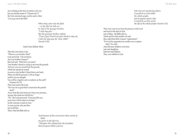sin is lurking at the door; its desire is for you, but you should master it" (Genesis 4:6–7). But Cain remained angry and he said to Abel, "Let us go out to the field."

> *When they came into the field —so the Qur'an tells us he said to his younger brother, "I will slay you." But the younger brother replied, "Even if you stretch out your hand to slay me, I will not slay you; for I fear Allah" (Surah 5:28).*

#### And Cain killed Abel.

Then the Lord said to Cain, "Where is your brother Abel?" Cain answered, "I do not know. Am I my brother's keeper?" But God said, "What have you done? Your brother's blood is crying to me from the ground! And now you are cursed from the ground, which has opened its mouth to receive your brother's blood from your hand. When you till the ground, it will no longer yield to you its strength. You will be a fugitive and a wanderer on the earth" (Genesis 4:9–12). Then Cain said to the Lord, "Isn't my sin so great that I cannot bear the punishment? Away from this land and away from your presence, anyone who finds me will kill me." "No," the Lord answered, "if anyone kills you, seven lives will be taken in revenge." So the Lord put a mark on Cain to warn anyone who met him not to kill him. That's what the Bible tells us.

> *And because of this occurrence these words of Allah are given in the Qur'an, "Therefore We ordained for the Israelites that if anyone killed a person*

The First Sons

*who was not murdering others, it would be as if he killed the whole people; and if anyone saved a life, it would be as if he saved the life of the whole people (Surah 5:32).*

Then Cain went away from the presence of the Lord and lived in the land of Nod, east of Eden—the Bible tells us. Adam and Eve had another son and they called him Seth; it means "replacement." "For God has appointed me another son to replace Abel," Eve said. And still more children were born, sons and daughters. Seth also had children. They were faithful to God.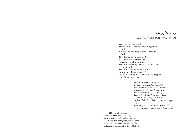

*(Genesis 6—9; Surahs 7:59–63; 11:25–49; 71:1–28)*

Years and years passed. More and more people were living on the earth, but less and less people were faithful to God. They turned away from God and made idols to serve them instead of worshiping God. The Lord was sorry that the Lord had made humankind. The Lord said, "I will wipe out these people I have created." But the Lord was pleased with a few people; one of them was Noah.

> *Nuh is his name in the Qur'an. In that book he is called a prophet with whom Allah has made a covenant. Allah has sent Nuh with a message to the idolaters of Wadd, Souwa, Jaghut, Jawuk, and Masr to tell them, "You have no other god but Allah. So fear Allah; then Allah may forgive you your sins. I fear for you the punishment of a terrible day." Meanwhile Allah ordered Nuh to build a boat*

(in the Bible it is called an ark). Noah had to build it of good timber, and to cover the ark with tar inside and out. The ark must have a roof, decks, and doors in it with rooms for all animals, male and female. God gave all measurements of the boat to Noah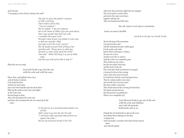### and God said, "I am going to send a flood to destroy the earth."

*The Qur'an gives the people's response to Nuh's warning. Their leaders said to him, "You are confused." But he replied: "I am not confused, but in the Name of Allah I give you good advice. Don't you wonder that there has come a reminder from your Lord through a man of your own people to warn you, so that you may fear Allah and may receive the Lord's mercy?" But the people accused Nuh of being a liar and they said, "Bring upon us what you threaten us with, if you speak the truth!" Nuh said: "Allah will bring it on you if Allah wills, and then you will not be able to stop it!"* 

When the ark was ready,

God told Noah to go into the ark with his wife and with his sons,

Shem, Ham, and Japheth, their wives, and all kinds of animals. God closed the door, and the sky burst open, and water from beneath and rains from above filled up the earth for forty days and nights. As the water rose, the boat began to float. Above the mountains the water rose, and above the mountains the ark was raised up by the water.

> *In the Qur'an it is mentioned that another son of Nuh didn't want to go into the ark. He said: "I will find a high mountain that protects me against the water." But he was drowned (Surah 11:42–43).*

After forty days and forty nights the rain stopped. The Lord caused a wind to blow and slowly the water went down together with the ark. After one hundred and fifty days

### the ark came to rest upon a mountain;

Ararat is its name in the Bible

*and Judi in the Qur'an (Surah 11:44).* 

Slowly the tops of the mountains rose up from the water and the mountains became visible again. It took weeks and weeks before Noah could open a window. He sent out a raven and the raven flew to and fro until the water was completely gone. Then Noah sent out a dove, but the dove didn't find food and flew back to the ark. One week later Noah sent the dove out again; it returned to him in the evening with a fresh olive leaf in its beak. So Noah knew that the water had gone down. Then he waited another seven days and sent the dove out once more; this time it didn't come back. Then Noah removed the covering from the boat. He looked around and saw that the ground was getting dry. When it was completely dry,

> God allowed Noah to go out of the ark with his wife and children and with all animals; both books tell us so.

Outside the ark Noah built an altar to the Lord and offered burnt offerings on the altar to thank God. And God made a covenant with Noah and his descendants, and with all animals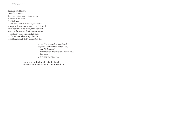Unit 1: The First Stories:

that came out of the ark. This is the covenant: that never again would all living beings be destroyed by a flood. And God said, "I have set my bow in the clouds, and it shall be a sign of the covenant between me and the earth. When the bow is in the clouds, I will see it and remember the covenant that is between me and you and every living creature of all flesh; and the waters shall never again become a flood to destroy all flesh" (Genesis 9:13–15).

> *In the Qur'an, Nuh is mentioned together with Ibrahim, Musa, 'Isa, and Muhammad. They are called prophets with whom Allah has made a covenant (Surah 33:7).*

Abraham, or Ibrahim, lived after Noah. The next story tells us more about Abraham.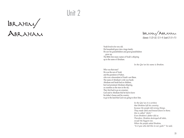# Unit 2

Ibrahim/ Abraham

Ibrahim/Abraham *(Genesis 11:22–32; 12:1–9; Surah 21:51–71)*

Noah lived to be very old. His household grew into a large family. He saw his grandchildren and great-grandchildren grow up. The Bible lists many names of Noah's offspring up to the name of Abraham.

*In the Qur'an his name is Ibrahim.* 

Who was that man? He was the son of Terah and the grandson of Nahor, who was a descendant of Noah's son Shem. The name of Abraham's wife was Sarah. Abraham and Sarah had no children, but God promised Abraham offspring, as countless as the stars in the sky. They first had to go on a journey. God said to Abraham that he had to leave his father's house and his country, to go to the land that God was going to show him.

> *In the Qur'an it is written that Ibrahim left his country because the people did wrong things. They made idols and bowed down to them; this is called "shirk." Even Ibrahim's father did so. Therefore, Ibrahim destroyed all idols, except the biggest one. When the people asked Ibrahim, "Is it you who did this to our gods?" he said,*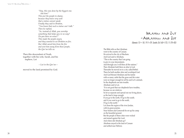*"Nay, this was done by the biggest one. Ask him!" This put the people to shame, because they knew very well that a statue cannot speak. Finally they said to Ibrahim, "You know that such a statue can't talk." Then he replied, "So, instead of Allah, you worship something that helps you in no way? Do you have no sense?" This made the people angry and they wanted to set Ibrahim on fire. But Allah saved him from the fire and sent him away from these people, the Qur'an tells us.*

Then this descendant of Noah, together with his wife, Sarah, and his nephew, Lot

*—Lut in the Qur'an—*

moved to the land promised by God.

## Ibrahim and Lut —Abraham and Lot *(Genesis 13—18; 19:1–29; Surahs 26:160–173; 11:70–83)*

The Bible tells us that Abraham went to the country of Canaan. He arrived in the city of Shechem. And God said to Abraham, "This is the country that I am going to give to your descendants. And through you I will bless all the nations." Then Abraham built there an altar to God. Thereafter he moved on to a city called Bethel. There he built another altar and worshiped God. And God blessed Abraham and his family with so many cattle that the grass and the water were no longer enough for all his and Lot's animals. So the shepherds ran into trouble. Abraham said to Lot, "It is not good that our shepherds have troubles, because we are relatives. So let us separate and spread out our living places, as the land is large enough. If you go to the north, I'll go to the south; and if you want to go to the south, I'll go to the north." Lot chose the region of the river Jordan, with its green prairies. Near Sodom and Gomorrah he set up his camp on the beautiful ground. But the people of these cities were wicked and sinned against the Lord. And where did Abraham go? Abraham stayed in the land of Canaan and settled near Hebron;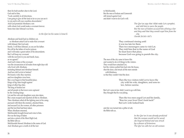there he built another altar to the Lord. God said to him, "Look carefully in all directions; I am going to give all the land as far as you can see it to you and to all your countless descendants." And God promised Abraham a son with whom God would make a covenant forever. Some time later Ishmael was born;

 *in the Qur'an his name is Isma'il.* 

<sup>26</sup> <sup>27</sup> Unit 2: Ibrahim/Abraham : Abraham and Sarah had no children yet, so Abraham asked God to make that covenant with Ishmael. But God said, Surely, I will bless Ishmael, as you are his father. He will be the father of twelve princes and I will make a great nation of his descendants. But I will keep my covenant with the son born to you and Sarah, Isaac, as we agreed." And God's token of the covenant was the circumcision of all males from eight days old who lived with Abraham, including Ishmael and Abraham himself. And how did Lot do in Sodom? He found a wife; they married, and two daughters were born. But a war began in that beautiful place. Kings of big cities fought against kings of other big cities. The king of Sodom lost and all people in that town were captured by the winning kings. Lot and his wife and daughters were also taken. But a man escaped and reported all this to Abraham. Then Abraham called all the fighting men in his camp, pursued with them the enemies, attacked them, and rescued Lot, the women, all other prisoners and the loot that had been taken. When Abraham returned, Melchizedek brought bread and wine to him. He was the king of Salem and also a priest of the Most High God, the Bible tells us. Melchizedek blessed Abraham in the name of God. And Abraham gave a tenth of all the loot

to Melchizedek. But the men of Sodom and Gomorrah still sinned against God and didn't want to do God's will.

> *The Qur'an says that Allah make Lot a prophet, and told him to warn the people. But the men of Sodom accused him of being a liar and they said that they would expel him from the city (Surah 26:161–167).*

They continued sinning until it was too late for them. Then two messengers came to visit Lot. They told him that in the name of God he must leave that place, because God was going to punish the city.

The men of the city came to know this and wanted to do evil things to the visitors. They would have attacked Lot, but the visitors pulled him back into the house, shut the door, and struck all the men outside with blindness, so that they couldn't find the door.

> Then the two visitors told Lot to leave the city with his wife, daughters, and sons-inlaw, before sunrise.

But Lot's sons-in-law didn't want to go with him; they thought that he was joking.

> Then the two men urged Lot and his family, "Run for your lives! Don't look back!" But Lot's wife looked back

and she was turned into a pillar of salt, the Bible tells us.

> *In the Qur'an it was already predicted that the woman would not be saved; she lingered behind and was struck by a shower of brimstone. The Qur'an calls her an old woman*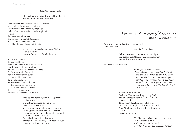#### *(Surahs 26:171; 37:135).*

The next morning God destroyed the cities of Sodom and Gomorrah with fire.

When Abraham came out of his camp and saw the fire, he remembered the message of the visitors. They had visited Abraham before going to Lot. He had offered them a meal and they had explained to him the plan to destroy both cities. Afterward they went up to Lot in Sodom. A third visitor stayed with Abraham to tell him what would happen with the city.

> Abraham again and again asked God to save the city, because Lot and his family lived there.

<sup>28</sup> <sup>29</sup> Unit 2: Ibrahim/Abraham : The Sons of Ibrahim/Abraham And repeatedly he was told that God would do so if fifty or forty innocent people were found, or even if it was only thirty or twenty people (for Abraham reduced the number every time). Finally, he asked what God would do, if only ten innocents were found; and he was told that even then the city would be saved. But he was not allowed to ask again. So when that morning he looked out and saw the fire from afar, he understood that not even ten innocent people could be found in Sodom and Gomorrah.

He also had heard a good message from his visitors. It was their promise that next year Sarah would bear a son, with whom God would make a covenant. In the Qur'an and the Bible it is written that Abraham's wife could hardly believe it, as she was very old already. But in both books it is also written that for the Lord nothing is impossible (Gen esis 18:14; Surah 11:72–73).

*(Genesis 21—22; Surah 37:102–107)*

One year later a son was born to Abraham and Sarah. His name is Isaac

*—in the Qur'an, Ishak.*

In both books we can read that, one night in a dream, the Almighty ordered Abraham to offer his son as a sacrifice.

In the Bible, Isaac is mentioned;

*in the Qur'an, Isma'il is intended, although his name is not mentioned. When his son was old enough to work with his father, Ibrahim said, "My son, I have seen myself sacrifice you in a dream. What do you think?" He said, "Father, do as you are commanded and, God willing, you will find me steadfast." (Surah 37:102–103)*

Happily this ended well. God saw Abraham willing to obey God and this was sufficient to God. The Lord stopped him. Then, when Abraham raised his eyes he saw a ram caught by the horns in a bush. And Abraham thankfully offered the ram to God instead of his son.

> *The Muslims celebrate this event every year. A ram or other animal is slaughtered and the meat is shared with the family, friends, and the poor.*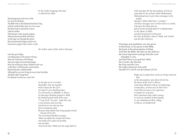*In the Arabic language this feast is called Id-al-Adha.*

Much happened in the lives of the two sons of Abraham. The Bible tells us that Ishmael had been living with his small brother Isaac for a few years. But then Sarah wanted him to leave with his mother. That became a time of great sadness. Ishmael almost perished with thirst on the long way through the desert. But God protected Hagar and her son. God sent an angel to her to show a well;

*the Arabic name of this well is Zamzam.*

God also gave Hagar a dwelling place in the desert of Paran; there she could stay with Ishmael. And once again God promised Hagar that God would give many children to her son, so that they would become a great nation. Ishmael became a skilful hunter. Although he was now living far away from his father, Abraham didn't forget him.

For Ishmael was his son, wasn't he?

<sup>30</sup> <sup>31</sup> Unit 2: Ibrahim/Abraham : *In the Qur'an it is written that father and son together built a house for the Lord in Ismai'l's new dwelling place. It is the Ka'ba, in Makkah, or Mecca. In that place Ibrahim prayed to Allah for himself and for both of his sons. "O my Lord!" he said, "make this city a city of peace and security; and preserve me and my sons from worshiping idols. Because they indeed lead many people astray" (Surah 14:35–41). The Lord heard lbrahim's prayer; Allah sanctified the newly built house and made of it a place of worship and sacrifice. And much later Allah sent the angel Jabra'il* 

*with messages for the descendants of Isma'il, especially to one of them called Muhammad. Muhammad was to give these messages to his people; therefore Allah called him a "prophet." All these messages were written down in a book; it became the Holy Qur'an, full of words through Jabra'il to Muhammad in the Name of Allah, and full of memories of the past: the time of lbrahim, Isma'il, Ishak, and Ya'kub* 

Warnings and guidelines are also given in that book, as are given in the Bible, the book of the descendants of Ishak. And like the Bible, the Qur'an also delivers the most important message that the Lord Almighty is one, and that there is no god but Allah, the Creator, the Eternal, the First and the Last, the Light of heaven and earth (Surahs 57:3; 24:35; see Revelation 22:13).

*and all other believers.*

*Right up to today these words are being read and told to the descendants; also about the Ka'ba, the house of the Lord in Mecca. And many Muslims still go on pilgrimage to that place, at least once in their lives. And if the journey is too expensive, or people are very poor, then sometimes they collect money to send one member of their family or one inhabitant of their village to Mecca, on behalf of all.*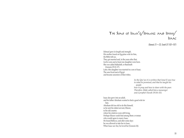## The Sons of Isma'il/Ishmael and Ishak/ Isaac

*(Genesis 21—22; Surah 37:102–107)*

Ishmael grew in length and strength. His mother found an Egyptian wife for him, the Bible tells us. They got married and, in the years after that, twelve sons and at least one daughter were born. She was called Mahalath, or Basemath (Genesis 25:12–17). Later, this daughter was married to a son of Isaac. The sons lived east of Egypt and became ancestors of their tribes.

> *In the Qur'an it is written that Isma'il was true to what he promised, and that he taught his people how to pray and how to share with the poor. Therefore Allah called him a messenger and a prophet (Surah 19:54–55).*

Isaac also grew into an adult, and his father Abraham wanted to find a good wife for him. Abraham felt too old to do this himself, so he sent his oldest servant, Eliezer, to his old country where his relatives were still living. Perhaps Eliezer could find among them a woman who would agree to marry Isaac. He found Rebecca, and after some days he was allowed to take her to Isaac. When Isaac saw her, he loved her (Genesis 24).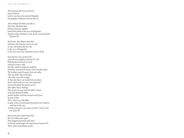They married and twins were born, Esau and Jacob. Later it was Esau who married Mahalath, the daughter of Ishmael (Genesis 28:8–9).

About Ishmael the Bible also tells us that when Abraham died, Ishmael and Isaac together buried their father in the cave of Machpelah, the place where Abraham's wife, Sarah, was also buried (Genesis 25).

Much later, after Rebecca had died and Isaac's life had also come to an end, he also was buried, like his wife, in the cave of Machpelah, by his twin sons, Esau and Jacob (Genesis 35:28).

Esau had five sons, Jacob twelve, and both had daughters (Genesis 29—30). Both families increased so much and had so many cattle, that they could no longer live together. Therefore, Esau and his family went to another place. The brothers parted in peace from each other. That was better than in the past, when they were still younger. At that time there was trouble between them about which of the two was most important and would inherit the greater part of their father Isaac's heritage. Then Jacob ran away from his father's house, as he had cheated his father and his brother, and Esau wanted to kill Jacob because of that. This is told to us in the Bible. In spite of that, God promised Jacob that God would be with him on his way. And the Lord gave a new name to Jacob: "Israel" (Genesis 32:22–29).

Many years later, before Isaac died, the two brothers met again. They hugged and kissed each other. So all fear and all anger was wiped away (Genesis 33). This is what reconciliation means.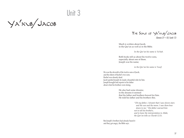## Unit 3

Ya'kub/Jacob

The Sons of Ya'kub/Jacob *(Genesis 37—50; Surah 12)*

Much is written about Jacob, in the Qur'an as well as in the Bible.

*In the Qur'an his name is Ya'kub.*

Both books tell us about his twelve sons, especially about one of them. Joseph was his name;

*in the Qur'an his name is Yusef.*

He was the eleventh of the twelve sons of Jacob, and the eldest of Rachel's two sons. Rachel was already dead. Jacob spoiled Joseph; he made a beautiful robe for him. Joseph brought bad reports to his father about what his brothers were doing.

> He also had some dreams; in the dreams it seemed that his father and brothers bowed for him. He told his father and his brothers this.

> > *"Oh my father, I dreamt that I saw eleven stars and the sun and the moon. I saw them bow down to me." His father warned him not to tell his brothers, and to leave the interpretation to Allah, the Qur'an tells us (Surah 12:5).*

But Joseph's brothers had already heard it and they got angry, the Bible says.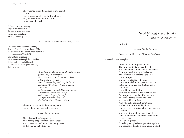They wanted to rid themselves of this proud Joseph. And once, when all were far from home, they attacked him and threw him into a deep, dry well.

And as they were considering whether or not to kill him, they saw a caravan of traders coming from Gilead and traveling on the way to Egypt.

*In the Qur'an the name of that country is Misr.* 

They were Ishmaelites and Midianites; those are descendants of Abraham and Hagar and of Abraham and Keturah, whom he married after Sarah's death (Genesis 25). Joseph's brothers decided it was better to sell Joseph than to kill him. So they pulled him out of the well and sold him for twenty pieces of silver, the Bible tells us.

> *According to the Qur'an, the merchants themselves pulled Yusef out of the well. For their water carrier let his bucket down into the well to get water. Instead of water, he found a boy in the well and called: "Good news! A young man in the well!" So the merchants concealed him as a treasure. But then the brothers came along and wanted to be paid for Yusef. For a few dirhams he was sold, the Qur'an tells us (Surah 12:19–20).*

Then the brothers told their father Jacob that a wild animal had killed Joseph;

*a wolf, the Qur'an says.* 

They showed him Joseph's robe, after having dipped it into a goat's blood. And Jacob mourned his son for many years, so it is written in both books.

Yusef/Joseph in Egypt *(Genesis 39—41; Surah 12:21–57)*

In Egypt

*—"Misr" in the Qur'an—*

Joseph was sold to one of Pharaoh's officers;

in the Bible his name is Potiphar.

Joseph lived in Potiphar's house. The Lord Almighty blessed Joseph and gave him wisdom, both books tell us. So Joseph made the right decisions and Potiphar saw that the Lord was with Joseph and he was pleased with him. Potiphar made him his personal servant. Potiphar's wife also saw that he was a good man. She fell in love with him and wanted him to fall in love with her. But Joseph said that he didn't want to do wicked things toward the Lord and toward her husband. And when she couldn't tempt him, she had him imprisoned by lying. However, even in prison, the Lord took care of him and gave him wisdom. Joseph saw this when the Pharaoh's wine steward and the chief baker were put in prison. Something wrong had taken place in the palace and because of that, both men were punished,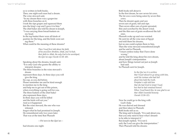so is written in both books. Then, one night each man had a dream. The wine steward said, "In my dream there was a grapevine with three branches on it. I took the ripe grapes and squeezed them into the king's cup and I gave it to him." The chief baker also told his dream to Joseph, "I was carrying three bread-baskets on my head. In the top basket there were all kinds of pastries for the king, and the birds were eat ing them." What could be the meaning of these dreams?

> *Then Yusef first told about the faith of his ancestors Ibrahim, Ishak, and Ya'kub, their faith in Allah, the only God to be worshiped, the Qur'an says (Surah 12:38–40).*

Speaking about the dreams, Joseph said, "It is only God who grants the ability to interpret dreams: The three branches in the wine steward's dream represent three days. In three days you will give the king his cup, as you did before. Please remember me and be kind enough to mention me to the king and help me to get out of this prison, when everything is going well for you. The three baskets of the chief baker also represent three days. In three days you will be killed and the birds will eat you." And so it happened. But the wine steward, the one who was released, forgot what he had promised to Joseph. He remembered only two years later. That was at the time that Pharaoh

—Fir'awn in the Qur'an—

had dreams one night.

As a control of the set of the set of the set of the set of the set of the set of the set of the set of the set of the set of the set of the set of the set of the set of the set of the set of the set of the set of the set Both books tell about it. In the first dream, he saw seven fat cows. The fat cows were being eaten by seven thin cows. Then he dreamt again and saw seven ears of grain, full and ripe. Then seven other ears of grain sprouted, thin and scorched by the desert wind; and the thin ears of grain swallowed the full ones. Pharaoh woke up and was worried. He sent for all the wise men of Egypt and told them his dreams, but no one could explain them to him. Then the wine steward remembered Joseph and he said to Pharaoh, "I must confess today that I have done wrong," and he told the king about his own dream, about Joseph's interpretation and how things turned out just as Joseph had said. So Pharaoh sent for Joseph.

*In the Qur'an it is written that Yusef refused to go along with him, until the woman who had lied about him hold the truth. Potiphar's wife told him that she had tried to tempt Yusef, but that he had remained honest. When Yusef heard this, he was glad to see that Allah rewarded honesty (Surah 12:50–52).*

Now he could go to the king with God's help. He was shaved and dressed and then taken to Pharaoh. Both books tell us so. The king said to Joseph, "It is said about you, that you only need to hear what I dreamt to be able to interpret it." But Joseph replied, "It is not I; only the Lord can give the interpretation." Then Pharaoh told his dreams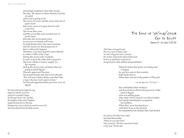$\omega_{\text{eff}} = \omega_{\text{eff}} \omega_{\text{eff}}$ <br>  $\omega_{\text{eff}} = \omega_{\text{eff}} \omega_{\text{eff}}$ <br>  $\omega_{\text{eff}} = \omega_{\text{eff}} \omega_{\text{eff}}$ <br>  $\omega_{\text{eff}} = \omega_{\text{eff}} \omega_{\text{eff}}$ <br>  $\omega_{\text{eff}} = \omega_{\text{eff}} \omega_{\text{eff}}$ <br>  $\omega_{\text{eff}} = \omega_{\text{eff}} \omega_{\text{eff}}$ <br>  $\omega_{\text{eff}} = \omega_{\text{eff}} \omega_{\text{eff}}$ <br>  $\omega_{\text{eff}} = \omega_{\text{eff}}$ and Joseph explained what they meant. He said, "By means of these dreams God has revealed what God is going to do. The seven fat cows and the seven full ears of grain mean that seven years of a great harvest will come first. The seven thin cows and the seven thin and scorched ears of grain mean that after the seven good years seven years of famine will come. So both dreams have the same meaning and the reason for dreaming twice is that it will surely happen. Therefore, you must appoint some officials to collect a fifth of the crops during the seven years of plenty, to store it up in the cities and to guard it. The food will be a reserve supply for the country during the seven years of famine that are going to befall Egypt." Pharaoh approved this plan. He trusted Joseph and said to his officials, "We will never find a better man than him, a man who has God's spirit in him." So Pharaoh appointed him governor over all Egypt.

He removed from his finger the ring engraved with the royal seal and put it on Joseph's finger. He also gave him a wife, Asenath, the daughter of the priest Potiphera. Joseph traveled all over the land. During seven years of plenty he stored in every city the food collected from the fields around.



After those seven good years the seven years of famine came, not only in Egypt but also in Canaan, the country where Jacob and his family lived. Jacob was afraid there would not be enough food for all his children and grandchildren.

> When he heard that grain was being sold in Egypt, he sent ten sons to that country, both books tell us. When they arrived at the palace of Pharaoh

> > *—in the Qur'an "Fir'awn"—*

they left behind their donkeys and bowed down before the governor of the land of Egypt, who was selling grain. They didn't know that he was their brother, but Joseph immediately recognized his brothers. When they were bowing down with their faces to the ground, he remembered his dreams they had denied.

He acted as if he didn't know them and asked them harshly, "Where do you come from?" They answered, "We have come from Canaan to buy food." But he said,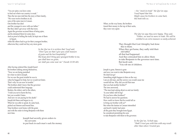"You are spies; you have come to find out where our country is weak." Then the ten men told him the story of their family, "We were twelve brothers in all, sons of the same man in Canaan. One brother has died and the youngest is now with our father." But they didn't get away with that story. Again the governor accused them of being spies, and he detained them for some days. And as proof of telling the truth, he kept one of them in Egypt, while the others had to go for their youngest brother, otherwise they could not buy any more grain.

> *In the Qur'an it is written that Yusef said, "Don't you see that I give you a full measure of grain and the best hospitality? But if you don't bring your youngest brother to me, you shall have no grain, nor shall you come near me" (Surah 12:59–60).*

After having ordered this, Joseph heard his brothers talking among themselves, "Now we are being punished for what we did to Joseph. For we saw the great trouble he was in when he begged for help, but we would not listen. That's why we are now in trouble." The brothers didn't know that the governor could understand their language. Reuben, the oldest, said to the others, "I told you not to harm the boy, but you wouldn't listen. And now we are paying for his death." Joseph left them and began to cry. When he was able to speak, he came back, picked out Simeon and bound him. Nine brothers went home with the grain and with the order to bring Benjamin with them next time.

> Joseph had secretly given orders to his servants to put back in each man's sack his money

*—his "stock-in-trade" the Qur'an says. Yusef hoped that this Might cause his brothers to come back, this book tells us.* 

When, on the way home, the brothers found their money in the top of their sacks, they were very upset.

> *The Qur'an says they were happy. They said, "Father, we need no more to trade. We will be entitled to an extra measure so easily achieved.*

They thought that God Almighty had done this to them. When they got home, they sadly told their old father all that had happened. And they entreated him to allow them to take Benjamin to the governor next time. But Jacob said, "You rob me of children.

Joseph is gone, Simeon is gone and now you want to take Benjamin away. He shall not go! Something might happen to him on the way. I am an old man, and the sorrow you would cause me would kill me. Why did you tell that man that you had another brother?" The sons answered, "The man kept asking about us and our family: 'Is your father still living? Do you have other brothers?' We had to answer his questions. How could we know that he would tell us to bring our brother with us?" But when the famine in Canaan intensified and Jacob's family had eaten all the grain they brought from Egypt, he considered permitting his sons to take Benjamin with them to the governor.

> *In the Qur'an, Ya'kub says, "Shall I trust you with him with any result other than when I trusted you*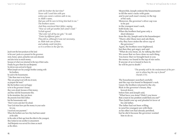*with his brother the last time? Never will I send him with you unless you swear a solemn oath to me, in Allah's name, that you will be sure to bring him back to me." The brothers swore. And they convinced their father, saying, "Now we will get another full camel's load." Ya'kub agreed. "But enter not all by one gate," he said. "Enter by different gates." They did so, although it was not necessary, as Allah took care of them and nobody could interfere, so it is written in the Qur'an.* 

 $\label{eq:20} \begin{tabular}{c|c|c|c|c} \hline & $\mathbf{1}_{\mathcal{M}} \cup \mathbf{1}_{\mathcal{M}} \cup \mathbf{1}_{\mathcal{M}} \cup \mathbf{1}_{\mathcal{M}} \cup \mathbf{1}_{\mathcal{M}} \cup \mathbf{1}_{\mathcal{M}} \cup \mathbf{1}_{\mathcal{M}} \cup \mathbf{1}_{\mathcal{M}} \cup \mathbf{1}_{\mathcal{M}} \cup \mathbf{1}_{\mathcal{M}} \cup \mathbf{1}_{\mathcal{M}} \cup \mathbf{1}_{\mathcal{M}} \cup \mathbf{1}_{\mathcal{M}} \cup \mathbf{1}_{\mathcal{$ Jacob sent the best products of the land in his sons' packs as a present for the governor: resin, honey, spices, pistachio nuts and almonds and also twice as much money, because of what was returned in the top of their sacks. Finally he gave them his son Benjamin. So eleven sons arrived in Egypt. When Joseph saw his younger brother coming with his brothers, he said to the housemaster, "Take these men to my house. They are going to eat with me at noon; so prepare the meal." But the brothers were not happy to be in the governor's house; they were afraid, because of that money, and they told the housemaster this. In the meantime, they put down the presents from their father; but the housemaster said, "Don't worry and don't be afraid. Your God must have put the money in your sacks for you. I received your payment." When the brothers saw how they had been seated at the table in the order of their age from the eldest to the youngest, they looked at one another in amazement. And Benjamin was served five times as much as the others.

Meanwhile, Joseph ordered the housemaster to fill the men's sacks with grain and to put each man's money in the top of his sack. Moreover, the governor's silver cup was to be put in the youngest man's sack, both books say. When the brothers had gone only a short distance from the city, Joseph said to his housekeeper: "Hurry after those men and ask them, why they have stolen the silver cup of the governor." Again, the brothers were frightened, but then they got angry and said "What do you mean, sir, by talking like this? We swear that we have done no such thing. You know that we brought back to you the money we found in the top of our sacks. If anyone of us is found to have it, he will be put to death."

> *"The penalty will be the enslavement of the per son in whose bag the cup is found" (Surah 2:75).*

The housekeeper searched carefully and the cup was found in Benjamin's sack. Upset, the brothers returned to the city. Back in the governor's house, they bowed down before him and Joseph said, "What have you done? Didn't you know that a man in my position could find you out?" Then Judah rose up and pleaded in favor of his old father. The father had not been willing to send his youngest son with them as his other son had already perished, but he did it because the governor wanted him to do so.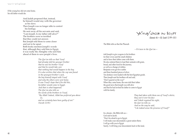If the young boy did not come home, his old father would die.

> And Judah proposed that, instead, he himself would stay with the governor as his slave. Then Joseph was no longer able to control his feelings. He sent away all his servants and said, "I am Joseph. Is my father still alive?" The brothers were so terrified that they could not answer. But Joseph told them to come closer and not to be upset. Both books mention Joseph's words that, although they sold him to Egypt, it was really the Almighty who sent him ahead of them to save people's lives.

> > *The Qur'an tells us that Yusef had already told his younger brother that he was his brother Yusef and that he would take care that nothing bad would happen to the boy. It is also written that when the cup was found in the youngest brother's sack, the boy himself stayed with Yusef and only the others were sent home. It was Yusef's hope that if he did this, his father would come to Egypt. And that is what happened. The Qur'an also tells us the words of the brothers to Yusef, "By Allah! Indeed, Allah has preferred you above us, and we certainly have been guilty of sin!" (Surah 12:91)*

Ya'kub/Jacob in Egypt *(Genesis 46—50; Surah 12:99–101)*

The Bible tells us that the Pharaoh

*—Fir'awn in the Qur'an—*

told Joseph to give wagons to his brothers for their wives and the small children and to have their father come with them. He also ordered them to load their animals with grain, bread, and other food for the journey, as well as a change of clothes. Benjamin even got five outfits and three hundred pieces of silver. Ten donkeys were loaded with the best Egyptian goods. Then Joseph sent his brothers off and said, "Don't quarrel on the way!" When they came home, the sons told their father the good news that Joseph was still alive and that he had invited his father to come to Egypt with his family.

> *They had taken with them one of Yusef's shirts; they cast it over his face and Yakub regained his sight, the Qur'an tells us. And on the way he said, "I do indeed sense the presence of Yusef!"*

In a dream—the Bible tells us— God said to Jacob, "Don't be afraid to go to Egypt; I will make your descendants a great nation there; I will go with you to Egypt. Surely, I will bring your descendants back to this land,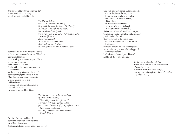And Joseph will be with you when you die." Jacob arrived in Egypt in safety with all his family and all his cattle.

> *The Qur'an tells us how Yusef welcomed his family. He provided a home for them with himself and raised them high on the throne. But they bowed deeply to him. Then Yusef said to his father, "O my father, this is the fulfillment of my vision of old! Allah has made it come true! Allah took me out of prison and brought you all here out of the desert!"*

Joseph took his father and five of his brothers to Pharaoh and introduced them, the Bible tells us. Jacob blessed Pharaoh; and Pharaoh gave Jacob the best part of the land in the region of Goshen, for his family and his cattle. And he said, "If there are any capable men among them, put them in charge of my own livestock." Jacob lived in Egypt for seventeen years. When the time drew near for him to die, he called his sons, one by one. He blessed them, beginning with Joseph and his two sons, Manasseh and Ephraim. The younger one was blessed first.

> *The Qur'an mentions the last sayings of Ya'kub with his sons, "What will you worship after me?" They said, "We shall worship Allah, your Lord and the Lord of your forefathers Ibrahim, Isma'il, and Ishak, the Only True One; to Allah we submit" (Surah 2:133).*

Then Jacob lay down and he died. Joseph and his brothers and all relatives carried his body to Canaan. All Pharaoh's officials and the leading men of Egypt

went with Joseph, in chariots and on horseback. In Canaan they buried the body of Jacob in the cave at Machpelah, the same place where also his ancestors were buried, the Bible tells us. Now that their father had died, the sons themselves came to Joseph. They bowed down for him and said, "Before your father died, he told us to ask you, 'Please forgive us the wrong that we have done.' " Joseph cried and he said, "I can't put myself in the place of God. You plotted evil against me, but God turned it into good, in order to preserve the lives of many people who are alive today because of what happened. You have nothing to fear. I will take care of you and your children." And Joseph did so unto his death.

> *In the Qur'an, the story of Yusef is not called a story, but a confirmation of what happened; a detailed exposition of all things, and a guide and comfort to those who believe (Surah 12:111).*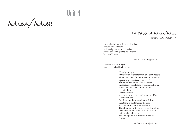# Unit 4

Musa/Moses



Joseph's family lived in Egypt for a long time. Many children were born, so the family grew into a large nation; "Israel" is its name, given by the Almighty. But a new Pharaoh

*—Fir'awn in the Qur'an—* 

who came to power in Egypt knew nothing about Jacob and Joseph.

> He only thought, "This nation is greater than our own people. When their men choose to join our enemies in case of a war, Egypt will lose." Therefore he made a plan to prevent the Hebrew people from becoming strong. He gave them slave labor to do and made them work very hard; and they were beaten and maltreated by slave drivers. But the more the slave drivers did so, the stronger the Israelites became and the more children were born. Then Pharaoh ordered every newborn boy to be thrown into the Nile, a broad river. Both books tell us so. But some parents hid their little boys. Amram

> > *—'Imran in the Qur'an—*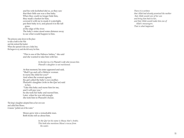and his wife Jochebed did so, as they saw that their little son was a fine baby. When they could no longer hide him, they made a basket for him, covered it with tar to made it watertight, put their baby in it, and placed it in the tall grass at the edge of the river. The baby's sister stood some distance away to see what would happen to him.

The princess came down to the place to take a bath in the Nile and she noticed the basket. When she opened it she saw a baby boy. He began to cry and she felt sorry for him.

> "This is one of the Hebrew babies," she said and she wanted to take him with her.

> > *In the Qur'an, it is Pharaoh's wife who rescues him. Pharaoh's daughter is not mentioned.*

At that moment, his sister appeared and said, "Shall I go and call a Hebrew woman to nurse the child for you?" And when the woman agreed, the girl called the baby's own mother. Pharaoh's daughter (wife in the Qur'an) said to her, "Take this baby and nurse him for me, and I will pay you." So she took her baby and nursed him. Later, when he was old enough, she took him to Pharaoh's house.

The king's daughter adopted him as her own son and called him Moses; it means "pulled out of the water."

> Moses grew into a remarkable man. Both books tell us about him.

> > *In the Qur'an his name is Musa; that's Arabic. This book also mentions Musa's rescue from the water.*

*There it is written that Allah had already promised the mother that Allah would care of her son and bring him back to her, and that Allah would make him one of Allah's messengers. That is what happened.*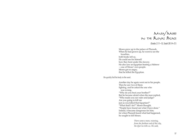

*(Exodus 2:11–15; Surah 28:14–21)*

Moses grew up in the palace of Pharaoh. When he had grown up, he went to see the Israelites, both books tell us. He could see for himself how they bent under the slavery. He also saw an Egyptian beating a Hebrew —one of Moses' own people. Moses got so angry, that he killed the Egyptian.

He quickly hid his body in the sand.

Another day he again went out to his people. Then he saw two of them fighting, and he asked the one who was wrong, "Why do you beat your brother?" But he became afraid when the man replied, "Who made you our ruler and judge? Are you going to kill me just as you killed that Egyptian?" "What shall I do?" Moses thought. "People have found out what I have done." Indeed, it became dangerous for him; for when Pharaoh heard what had happened, he sought to kill Moses.

> *There came a man, running, from the farthest end of the city, the Qur'an tells us. He said,*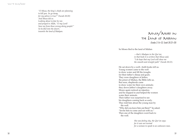*"O Musa, the king's chiefs are planning to kill you. So go away, for my advice is true!" (Surah 28:20) And Musa did so. Looking about in fear he ran and prayed to Allah, "O my Lord! Save me from these wrong-doing people!" So he fled into the desert, towards the land of Madyan.*



So Moses fled to the land of Midian

*—that's Madyan in the Qur'an; in that book it is written that Musa said, "I do hope that my Lord will show me the smooth and straight path" (Surah 28:22).* 

Source  $\frac{1}{2}$   $\frac{1}{2}$   $\frac{1}{2}$   $\frac{1}{2}$   $\frac{1}{2}$   $\frac{1}{2}$   $\frac{1}{2}$   $\frac{1}{2}$   $\frac{1}{2}$   $\frac{1}{2}$   $\frac{1}{2}$   $\frac{1}{2}$   $\frac{1}{2}$   $\frac{1}{2}$   $\frac{1}{2}$   $\frac{1}{2}$   $\frac{1}{2}$   $\frac{1}{2}$   $\frac{1}{2}$   $\frac{1}{2}$   $\frac{1}{2}$   $\frac{$ He sat down by a well—both books tell us. Young women came to the well to draw water and fill the troughs for their father's sheep and goats. They were daughters of Jethro, the priest of Midian, the Bible tells us. But soon, shepherds came to draw water for their own animals; they drove Jethro's daughters away. Moses again noticed an injustice, and he stepped in and helped the women water their animals. Their father was surprised to see his daughters coming back so early. They told him about the young man by the well. "Why did you leave him out there?" he asked. "Invite him to come and eat with us." Then one of the daughters went back to the well.

*She was feeling shy, the Qur'an says; for it was not normal for a woman to speak to an unknown man.*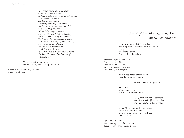*"My father invites you to his house, so that he may reward you for having watered our flocks for us," she said. So he came to her father and told his whole story. Then her father said, "Don't fear; you have escaped from unjust people." One of the daughters said, "O my father, employ this man; truly, the best man for you to employ is the man who is strong and trusty." The father had a plan. He said to Musa, "I intend to wed one of my daughters to you, if you serve me for eight years. And if you complete ten years, it will be a grace for you; but I intend not to place you under strain. If Allah wills, you will find me one of the righteous."*

Moses agreed to live there, taking care of Jethro's sheep and goats.

He married Zipporah and they had a son; his name was Gershom.

Musa/Moses Called by God

*(Exodus 2:23—4:17; Surah 28:29–35)*

So Moses served his father-in-law. But in Egypt the Israelites were still groaning under the slavery. Both books tell us about it.

Sometimes, the people cried out for help. Their cry went up to God; God heard it—the Bible says and God remembered the covenant with Abraham, Isaac, and Jacob.

> Then it happened that one day, near the mountain Horeb

> > *—Mount Tur in the Qur'an—*

Moses saw a bush was on fire but it was not burning up.

> *The Qur'an says that it happened when Musa had fulfilled his obligation and was traveling with his family.*

When Moses wanted to come closer to see that strange event, a voice called to him from the bush, "Moses! Moses!"

Moses said, "Here I am." "Don't come any closer," the voice called, "because you are standing on holy ground.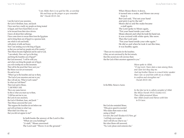*"I am Allah; there is no god but Me, so worship Me and keep up the prayer so you remember Me" (Surah 20:13–14).*

I am the God of your ancestors, the God of Abraham, Isaac, and Jacob. I have seen how cruelly my people are being treated in Egypt, and I have heard them cry out to be rescued from their slave drivers. I know all about their sufferings. I have come down to rescue them from the Egyptians and to bring them out of Egypt to a spacious land, one which is rich and fertile, with plenty of milk and honey. Now I am sending you to the king of Egypt, so that you can lead my people out of his country." Then Moses became frightened and he said to God, "I am nobody. How can I go to the king and bring the Israelites out of Egypt?" But God answered, "I will be with you; and when you bring the people out of Egypt, you will worship me on this mountain. That will be the proof that I have sent you." But Moses was not yet reassured. He said to God, "When I go to the Israelites and say to them, 'The God of your ancestors sent me to you,' they will ask me, 'What is God's name?' So what can I tell them?" Then God said to Moses, "I AM WHO I AM. This is my name forever. So this is what you must say to them, 'I AM has sent me to you, the Lord of your ancestors, the God of Abraham, Isaac, and Jacob.' " Then Moses answered the Lord, "But suppose the Israelites do not believe me and will not listen to what I say. What shall I do if they say that you did not appear to me?"

> In both books the answer of the Lord is this: "What are you holding?" "A staff," Moses answered. The Lord said "Throw it on the ground."

When Moses threw it down, it turned into a snake, and Moses ran away from it. But God said, "Put out your hand and pick it up by the tail." Moses did so and the snake became a staff again. The Lord spoke to Moses again, "Put your hand inside your robe." Moses obeyed; and when he took his hand out, it was covered with white spots, like snow. Then the Lord said, "Put your hand inside your robe again." He did so and when he took it out this time, it was healthy again.

"These are two miracles for the Israelites; if they are not convinced by the first miracle, then this second one will convince them that the God of their ancestors appeared to you."

> *Musa spoke to Allah, "O my Lord, I have slain a man among them, and I fear lest they slay me. And my brother Harun is a much better speaker than I am: so send him with me as a helper, to confirm and strengthen me" (Surah 28:33–34).*

In the Bible, Harun is Aaron.

*In the Qur'an he is called a prophet of Allah like Musa (Surah 19:53; Exodus 4:1). Then Allah promised Musa that Allah would send Harun with him to Fir'awn.*

But God also reminded Moses, "Who gives speech to mortals? Who makes them mute or deaf, seeing or blind? Is it not I, the Lord? (Exodus 4:11) Now, go! I will help you to speak And I will tell you what to say." But when Moses still answered, "No, Lord, please send someone else,"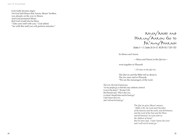God really became angry. Yet God told Moses that Aaron, Moses' brother, was already on the way to Moses. And God promised Moses that God would also be there. "Take your staff with you," God added, "for with this staff you will perform miracles."



So Moses and Aaron

—Musa and Harun in the Qur'an—

went together to Pharaoh

*—Fir'awn in the Qur'an.* 

The Qur'an and the Bible tell us about it. The two men said to Pharaoh, "We are the messengers of the Lord.

The Lord, the God of Israel says, 'Let my people go, so that they may celebrate a festival to me in the desert' " (Exodus 5:1b). But Pharaoh said, "Who is the LORD, to whom I should listen and let Israel go? I don't know the LORD, and I will not let Israel go."

> *The Qur'an gives Musa's answer, "Allah is He, the Lord and Cherisher of the heavens and the earth, and all between; and the Lord of the East and the West, and all between! So send with us the children of Israel." But Fir'awn said, "I don't know the Lord and I will not let Israel go."*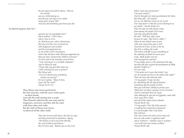*He got angry and said to Musa, "Did we not cherish you as a child among us, and did you not stay in our midst many years of your life? And you did something you know you did* 

—he killed the Egyptian, didn't he?—

*and you are an ungrateful man!" Musa replied, "I did it then, when I was in error. So I fled from you, when I feared you. But my Lord has since invested me with judgment and wisdom and the Lord appointed me as one of the Lord's messengers. And is this the favor with which you approach me, that you have enslaved the children of Israel?" Fir'awn said to the Israelites around him, "Your messenger is a veritable madman!" And to Musa he said, "If you take any god other than me, I will certainly put you in prison!" But Musa said, "Even if I showed you something clearly convincing?" Fir'awn replied, "Show it then, if you tell the truth!" (Surah 26:23–31)*

Then Moses and Aaron performed the first miracles, with the snow-white spots on their hands, and with the staff turning into a snake. Then Pharaoh called for his wise men and for magicians, sorcerers; and they did the same with their robes and staffs. But the staff of Moses and Aaron swallowed all the other staffs.

> *Then the sorcerers fell down, the Qur'an says, and they prostrated in adoration, saying, "We believe in the Lord of the Worlds, the Lord of Musa and Harun." But Fir'awn said, "Believe you in the Lord*

<sup>66</sup> <sup>67</sup> Unit 4: Musa/Moses: *before I give you permission? I am your master!" And he thought of a heavy punishment for them. But they said, "No matter! For us, we shall but return to our Lord! Our only desire is that the Lord will forgive us our faults" (Surah 26:46–51). Then the Qur'an tells about a man, from among the people of Fir'awn, who had concealed his faith. He said, "Will you slay a man because he says, 'My Lord is Allah,'? When he has indeed come to you with clear signs from your Lord? And if he be a liar, on him is his lie. But if he is telling the truth, Then there will fall on you something of the calamity of which he warns you: truly, Allah guides not one who transgresses and lies! O my people, yours is the dominion this day, but who will save us from the punishment of Allah, should it befall us?" Fir'awn said, "I but point out to you that which I see; nor do I guide you but on the path of the right!" Then the man who believed said, "O my people! Truly I do fear for something like the day of disaster, something like the people of Nuh; then you will have nobody to protect you. Allah does not allow injustice to his servants." And he reminded them of Yusef, who, although he was not an Egyptian, came with clear signs from Allah and saved the nation from a famine (Surah 40:28–34). "O my people! This life of the present is nothing but temporary enjoyment: it is the hereafter that is the home that will last. One who works evil will receive only evil, but one who works a righteous deed and is a believer—whether man or woman such will enter the Garden of Bliss" (Surah 40:39–40).*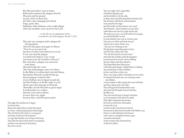But Pharaoh didn't want to listen. Both books mention the plagues that hit Pharaoh and his people: locusts, boils on their skin, the Nile water changing into blood, frogs, gnats, flies, hailstones, thick darkness, and a cattle plague. Only the Israelites were saved by the Lord.

> *—in the Qur'an an infestation of lice is named as one of the plagues (Surah 7:133).*

Pharaoh was arrogant until a plague hit the Egyptians. Then he said again and again to Moses, "Pray for us to your God because of what God ordered you to do. If you can stop the plague, we shall truly believe your words and send away the Israelites with you." But each time a plague was removed from them, Pharaoh broke his word. Then the tenth plague came over them. In the Bible it is written that God told Moses that before Pharaoh would let him go, the last plague would be this: every firstborn son in Egypt would die and the firstborn of all the cattle as well. Moses gave this message to Pharaoh. Thereafter, he left Pharaoh in great anger. In both books it is written, that the Lord said to Moses to leave that very night, because they would be persecuted.

That night, the Israelites ate in Egypt for the last time. Moses had ordered them to bake their bread in a hurry, without preparing leavened dough. They also had to kill a lamb or a young goat and smear its blood on the doorposts as a sign that Israelites were living in this house. And when the meat of that animal was prepared and they were dressed for the journey, they ate in a hurry.

Source A considered in the state of the state of the state of the state of the state of the state of the state of the state of the state of the state of the state of the state of the state of the state of the state of the That very night, God's angel killed all firstborn Egyptian sons and the firstborn of all the cattle, as Moses had warned the king before (Exodus 4:23). But all houses with blood on the doorposts were passed by the angel and the dwellers in those houses were saved. Then Pharaoh—whose firstborn son also died called Moses and Aaron by night and he said, "Be ready to go away, out of the midst of my people, you and all Israelites as well. Go and celebrate your Lord as you have said. Take also your flocks and herds, but go!" And his last words to Moses were, "Also pray for a blessing on me." The Egyptians urged the people to hurry and leave the country; they said, "We will all be dead if you don't leave." And when the Israelites asked the Egyptians for gold and silver jewelry and for clothing, they gave them what they asked for. The people filled their baking pans with unleavened dough, wrapped them in clothing, and carried them on their shoulders, so they could bake on their way. Then a very large number of Israelites set out on foot: six hundred thousand men, not counting women and children. A large number of other people also went with them and many sheep, goats, and cattle. They left Egypt four hundred thirty years after Jacob and his family had arrived there, the Bible says. They also took the body of Joseph with them, as was promised to him before his death. (This night of departure has become the Passover festival for all Israelites, to honor the Lord. And the month of the Passover festival has become for them the first month of the Hebrew year. Passover is still celebrated in the houses with a meal of a slaughtered lamb or goat and unleavened bread, on the evening of the fourteenth day of that first month.)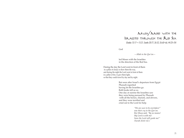# Musa/Moses with the Israelites through the Red Sea *(Exodus 13:17—15:21; Surahs 20:77; 26:52; 26:60–66; 44:23–24)*

God

*—Allah in the Qur'an—*

led Moses with the Israelites in the direction of the Red Sea.

During the day the Lord went in front of them in a pillar of cloud, to show them the way, and during the night the Lord went in front of them in a pillar of fire, to give them light, so that they could travel by day and by night.

> But soon after Israel's departure from Egypt Pharaoh regretted having let the Israelites go. Both books tell us so. One day at sunrise the Israelites saw they were being pursued by Pharaoh with all the horses, chariots, and drivers, and they were terrified and cried out to the Lord for help.

> > *"We are sure to be overtaken!" was their cry in the Qur'an. But Musa said, "By no means! My Lord is with me! Soon the Lord will guide me!" (Surah 26:61–62.)*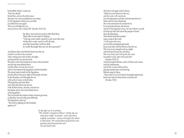In the Bible, Moses' words are, "Don't be afraid! Stand firm, and see the deliverance that the LORD will accomplish for you today; for the Egyptians whom you see today you shall never see again. The Lord will fight for you, and you have only to keep still" (Exodus 14:13–14).

> So they moved forward to the Red Sea. Then the Lord said to Moses, "Lift up your staff, stretch it out over the sea; strike the water and it will divide, and the Israelites will be able to walk through the sea on dry ground."

And Moses did so; he held his hand over the sea, and the Lord drove the sea back with a strong east wind. It blew all night and turned the sea into dry land. The pillar of fire that had been in front of the Israelites moved and went behind them; and the pillar of cloud also moved until it was between the Egyptians and the Israelites. The cloud made it dark for the Egyptians, but the pillar of fire gave light to the people of Israel. So the Israelites went through the sea with walls of water on both sides. The Egyptians pursued them and went after them into the sea with all their horses, chariots, and drivers. Just before dawn, the Lord looked down at the Egyptians. The Lord made the wheels of their chariots get stuck, so that they moved with great difficulty. The Egyptians cried out, "The Lord is fighting for the Israelites against us!"

> *In the Qur'an it is written, "We (Allah) revealed to Moses: 'Strike the sea with your staff!' It parted—each side like a mighty mountain—and we brought the others to that place. We saved Musa and all his com panions and drowned the rest" (Surah 26:63–66).*

 $\omega = 1$   $\omega$  and  $\omega$  and  $\omega$  and  $\omega$  and  $\omega$  and  $\omega$  and  $\omega$  and  $\omega$  and  $\omega$  and  $\omega$  and  $\omega$  and  $\omega$  and  $\omega$  and  $\omega$  and  $\omega$  and  $\omega$  and  $\omega$  and  $\omega$  and  $\omega$  and  $\omega$  and  $\omega$  and  $\omega$  and  $\omega$  and  $\omega$  a Then the Lord again said to Moses, "Hold out your hand over the sea, and the water will come back over the Egyptians and their chariots and drivers." Moses did so and at daybreak the water returned to its normal level. It covered the chariots, the drivers and all of the Egyptian army; not one of them was left. On that day the Lord saved the people of Israel from the Egyptians. Then Moses and the Israelites sang a song to the Lord, "I will sing to the LORD, for God has triumphed gloriously; horse and rider God has thrown into the sea. The Lord is my strength and my might, and God has become my salvation; this is my God, and I will praise the Lord, my father's God, and I will exalt God" (Exodus 15:1b–2). And the prophet Miriam, sister of Moses and Aaron, took her tambourine, and all the women followed her, playing tambourines, and dancing. Miriam sang for them, "Sing to the LORD; for God has triumphed gloriously; horse and rider God has thrown into the sea" (Exodus 15:21).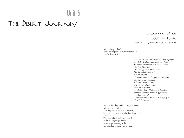# Unit 5

# The Desert Journey

Beginning of the Desert Journey *(Exodus 15:22—17; Surahs 2:57; 7:138–141; 20:80–82)*

After praising the Lord, Moses led the people away from the Red Sea into the desert of Shur.

> *The Qur'an says that they came upon a people devoted entirely to some idols they had; in Arabic such devotion is called "shirk." The Israelites said, "O Musa, fashion for us a god like the gods they have." But Musa said, "You don't know what you are asking for. The cult these people are in is bound to destruction, and they worship in vain. Shall I seek for you a god other than Allah, when it is Allah who has endowed you with gifts above other nations? Allah rescued you from Fir'awn's people!" (Surah 7:138–141)*

For three days they walked through the desert, without finding water. Then they came to a place called Marah, but the water there was so bitter that they could not drink it. They complained to Moses and asked "What are we going to drink?" Moses prayed earnestly to the Lord, and God showed him a piece of wood,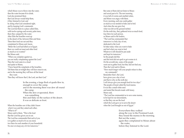which Moses was to throw into the water; then the water became fit to drink. God also promised them that God always would help them, if they listened to God, and by doing what God considered right, and by keeping God's commands. The Lord led them to a place called Elim, with twelve springs and seventy palm trees; there they camped by the water. After Elim the Israelites went up to the desert of Sin, between Elim and Sinai. There their food ran out and they complained to Moses and Aaron, "Better the Lord had killed us in Egypt; there we could eat meat and other food as much as we wanted." But Moses said, "When you complain against us, you are really complaining against the Lord." Then the Lord came in a cloud and spoke to Moses, "I have heard the complaints of the Israelites. Tell them that at twilight they will have meat to eat, and in the morning they will have all the bread they want. Then they will know that I, the Lord, am their God."

> In the evening, a large flock of quails flew in, enough to cover the camp, and in the morning there was dew all round the camp. When the dew evaporated, there was something thin and flaky on the surface of the desert. It was as delicate as frost.

When the Israelites saw it they didn't know what it was and they asked each other, "What is it?" Moses said to them, "This is the food that the Lord has given you to eat. The Lord has commanded that each of you is to gather as much of it as you need, two liters for each member of your household. No one is to keep any of it for tomorrow."

 $\omega$  and  $\omega$  is the set of the set of the set of the set of the set of the set of the set of the set of the set of the set of the set of the set of the set of the set of the set of the set of the set of the set of the se But some of them did not listen to Moses and saved part of it. The next morning it was full of worms and smelled rotten, and Moses was angry with them. Every morning, each one could gather as much as was needed to bake and to boil. And when the sun grew hot, what was left on the ground melted. On the sixth day, they gathered twice as much food, four liters for each person, as Moses said to the leaders, "The Lord has commanded that tomorrow is a holy day of rest, dedicated to the Lord. So bake today what you want to bake and boil what you want to boil. Whatever is left should be put aside and kept for tomorrow." So the people did this and the food did not spoil or get worms in it. On the seventh day, some of the people went out to gather food, but they did not find any. Then the Lord said to Moses, "How much longer will your people refuse to obey my commands? Remember that I, the Lord, have given you a day of rest and that is why on the sixth day I will always give you enough food for two days." The people of Israel called the food manna. It was like a small white seed and tasted like biscuits made with honey. Moses said, "The Lord has commanded us to save some manna, to be kept for our descendants, so that they can see the food which the Lord gave us to eat in the desert when the Lord brought us out of Egypt."

Everywhere they walked along the way to the Promised Land, they found the manna in the morning. But not the water; again they complained to Moses about the water, before they listened to the Lord.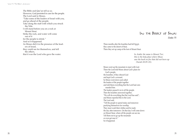The Bible and Qur'an tell us so. However, God persisted in care for the people. The Lord said to Moses, "Take some of the leaders of Israel with you, and go ahead of the people. Take along the staff with which you struck the Nile. I will stand before you on a rock at Mount Sinai. Strike the rock, and water will come out of it for the people to drink." And so it happened. As Moses did it in the presence of the leaders of Israel, they could see for themselves, and tell the others, that it was the Lord who gave the water.

# In the Desert of Sinai

### *(Exodus 19)*

Three months after the Israelites had left Egypt, they came to the desert of Sinai. There they set up camp at the foot of Mount Sinai.

> *In Arabic the name is Mount Tur; this is the holy place where Musa saw the bush on fire that did not burn up (Surah 28:29–35).*

Moses went up the mountain to meet with God. There the Lord told Moses about God's plans for God's people, the Israelites, if they obeyed God and kept God's covenant. So Moses went down and called the leaders of the people together and told them everything that the Lord had commanded him. The leaders passed it on to all the people. Then the Israelites answered together, "We will do everything that the Lord has said"; and Moses reported this to the Lord. The Lord said, "Tell the people to spend today and tomorrow purifying themselves for worship. They must wash their clothes and be ready the day after tomorrow. On that day I will come down on Mount Sinai, where all the people can see me. Tell them not to go up the mountain or even get near it." So it happened.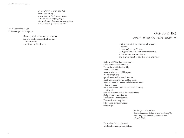*In the Qur'an it is written that before he went up Musa charged his brother Harun, "Act for me among my people. Do right, and follow not the way of those who do mischief" (Surah 7:142).*

Then Moses went up to God and Aaron stayed with the people.

> There is much written in both books about what happened high up on the mountain and down in the desert.

### GOD AND IDOL

### *(Exodus 20—33; Surahs 7:142–145, 148–156; 20:86–94)*

On the mountain of Sinai much was discussed between God and Moses. God gave him the Ten Commandments, written on two stone tablets, and a great number of other laws and rules.

God also told Moses how to build an altar for the sacrifices of the Israelites. The sacrifices had to be offered by Aaron and his sons. Aaron was to be anointed high priest and his sons priests; special clothes had to be made for them, exactly conforming to what God told Moses. A tent of the Lord's Presence (called a tabernacle) also had to be made, and a covenant box (called the Ark of the Covenant) with a lid, to be put in the tent with all the other furniture. God gave exact instructions for how everything had to be made. Therefore it took a long time before Moses came down again —forty days.

> *In the Qur'an is written that Allah appointed for Musa thirty nights, and completed the period with ten more (Surah 7:142).*

The Israelites didn't understand why their leader stayed away so long.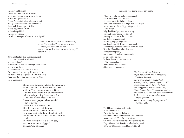Then they said to Aaron, "We do not know what has happened to this man Moses, who led us out of Egypt; so make us a god to lead us." And on Aaron's instruction all people took off their gold earrings and brought them to him. Aaron took the earrings, melted them, poured the gold into a mold, and made a gold bull. Then the people said, "Israel, this is our god, who led us out of Egypt!"

> *"Shirk" is the Arabic word for such idolatry. In the Qur'an, Allah's words are written: "Did they not know that an idol neither can speak to them nor show the way?" (Surah 20:89)*

Aaron also built an altar, and he announced, "Tomorrow there will be a festival to honor the Lord." Early the next morning they brought some animals to burn as sacrifices, and others to eat as fellowship offerings. The people sat down, eating, drinking, and feasting. But there were also people who did not participate. Those were the Levites, men of the tribe of Levi, one of Jacob's sons.

> Then Moses came down from the mountain. In his hands he held the two stone tablets with the Ten Commandments of God. God had already told him on the mountain what was happening down in the desert. "Go back down at once," God said, "because your people, whom you led out of Egypt, have sinned and rejected me. They have already left the way that I commanded them to follow; they have made a bull out of melted gold and have worshiped it and offered sacrifices to it. They are saying that this is their god, who led them out of Egypt." In anger God also said

that God was going to destroy them.

"Then I will make you and your descendants into a great nation," the Lord said. But Moses pleaded with the Lord, saying, "Lord, why should you be so angry with your people, whom you rescued from Egypt with great might and power? Why should the Egyptians be able to say that you led your people out of Egypt, planning to kill them in the mountains and destroy them completely? Stop being angry; change your mind and do not bring this disaster on your people. Remember your servants Abraham, Isaac, and Jacob." Now that Moses himself heard the noise of the shouting people, and saw the bull, and the people dancing, he too became furious; he threw the two stone tablets of the Ten Commandments and shattered them to pieces at the foot of the mountain.

> *The Qur'an tells us that Musa, angry and grieved, said to the people, "You have done evil in my absence: did you make haste to bring on the judgment of your Lord?" Moses seized his brother by his head and dragged him to him. Harun said, "Son of my mother! The people pressed me and nearly killed me! You know how they are. Make not the enemies to rejoice over my misfortune, nor count me among the people of sin" (Surah 7:150).*

The Bible also mentions such words. Moses said to Aaron, "What did these people do to you, that you have made them commit such a terrible sin?" Aaron answered: "Don't be angry with me; you know how determined these people are to do evil. They said to me: 'We don't know what has happened to this man Moses, who brought us out of Egypt;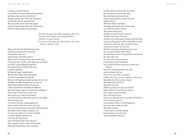so make us a god to lead us.' I asked them to bring me their gold ornaments, and those who had any took them off and gave them to me. I threw the ornaments into the fire and out came this bull!" Moses saw that Aaron had let the people get out of control and make fools of themselves in front of their enemies. [End Section]

> *The Qur'an says, that Musa prayed to the Lord, "O my Lord! Forgive me and my brother! Admit us to your mercy! For you are the most merciful of those who show mercy" (Surah 7:151).*

Moses took the bull which they had made, melted it, ground it into fine powder, and mixed it with water, and he made all idolaters drink it. Moses stood at the gate of the camp and shouted, "Everyone who is on the Lord's side come over here!" So all the Levites gathered round him. He ordered them on behalf of the Lord to kill the idolaters. On that day many Israelites died. The next day, Moses said to the people, "You have committed a terrible sin. But now I will again go up the mountain to the Lord; perhaps I can obtain forgiveness for your sin." Moses then returned to the Lord and said, "These people have committed a terrible sin. They have made a god out of gold and worshiped it. Please forgive them their sin; but if not, then remove my name from the book in which you have written the names of your people." The Lord answered, "It is those who have sinned against me whose names I will remove from my book. Now go, lead the people to the place I told you about. Remember that my angel will guide you; if I were to go with you even for a moment, I would completely destroy you. Now take off your jewelry, and I will decide what to do with you." Moses repeated God's words for the people. When they heard these, Israel mourned;

<sup>84</sup> <sup>85</sup> Unit 5: The Desert Journey: and they did not wear jewelry any longer. Some distance away from the camp, Moses had put up the sacred tent. Anyone who wanted to consult the Lord could go into it. Whenever Moses went there, the people stood at the door of their tents to watch him until he entered. After Moses had gone in, the pillar of cloud would come down and stay at the door of the tent, and the Lord would speak to Moses from the cloud. As soon as the people would see the pillar of cloud at the door of the tent, they would bow down, everyone at the door of God's tent. Then the Lord spoke with Moses face to face, just as a person speaks with a friend. One time Moses went to God's presence for himself. He said to the Lord, "It is true that you have told me to lead these people to that land, but you did not tell me whom you would send with me. You have said that you know me well and are pleased with me. Now if you are, tell me your plans, so that I may serve you and continue to please you. Remember also that you have chosen this nation to be your own." Then the Lord said, "Shall I go with you to put you at ease?" Moses replied, "If you don't go with us, Don't make us leave this place. How will anyone know that you are pleased with your people and with me, if you do not go with us? Your presence with us will distinguish us from any other people on earth." Then the Lord said, "I will do just as you have asked, because I know you very well and I am pleased with you."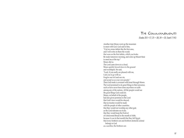# The Commandments

### *(Exodus 20:1–17; 25—30; 34—35; Surah 7:145)*

Another time Moses went up the mountain to meet with God. God said to him, "Cut two stone tablets like the first ones, and I will write on them the words that were on the first tablets, which you broke. Be ready tomorrow morning, and come up Mount Sinai to meet me at the top." Moses did so. The Lord came down in a cloud. Moses quickly bowed down to the ground and worshiped. He said, "Lord, if you really are pleased with me, I ask you to go with us. Forgive our evil and our sin, and accept us as your own people." Then God made a covenant with Israel through Moses. The Lord promised to do great things in their presence, such as have never been done anywhere on earth among any of the nations. All the people would see the great things God could do. Moses, on behalf of the people, had also given promises to the Lord that God's laws would be obeyed; that no treaties would be made with the people of other countries; that they would not worship any other god, as the Lord tolerates no rivals; that they would keep the Festival of Unleavened Bread in the month of Abib, because it was in that month that they left Egypt; that every firstborn son and firstborn domestic animal belongs to God as a sacrifice; the firstborn son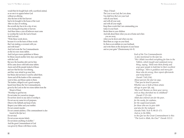The Comm andments

<sup>88</sup> <sup>89</sup> Unit 5: The Desert Journey: would then be bought back with a sacrificial animal, as no one is to appear before God without an offering. Also the best of the first harvest had to be brought to the house of the Lord. After six days of working, the seventh day has to be a day of rest, even during plowing time or harvest. And three times a year all believers must come to worship the Lord, the God of Israel. And God said, "Write these words down, because it is on the basis of these words that I am making a covenant with you and with Israel." And God wrote the Ten Commandments on the two new stone tablets. And God gave more guidelines to Moses. So Moses stayed another forty days and nights with the Lord. But now the Israelites did wait for him till he came down with both stone tablets. Aaron and all the people looked at Moses and saw that his face was shining, and they were afraid to go near him; but Moses did not know it and he called them. Aaron and all the leaders of the community went to him, and Moses spoke to them. The leaders, obliged to set a good example, heard from Moses the Ten Commandments, given by the Lord on the two stone tablets from the Mount of Sinai: "Worship no god but me. Do not make for yourselves images. Do not bow down to any idol or worship it. Do not use my name for evil purposes. Observe the Sabbath and keep it holy. Respect your father and your mother. Do not commit murder. Do not commit adultery. (This commandment is also found in the Qur'an.) Do not steal. Do not accuse anyone falsely. Do not desire anything of another." And the great Commandment of God was given by Moses with these words,

The Lord is our God, the Lord alone. You shall love the LORD your God with all your heart, and with all your soul, and with all your might. Keep these words that I am commanding you today in your heart. Recite them to your children And talk about them when you are at home and when you are away, when you lie down and when you rise. Bind them as a sign on your hand, fix them as an emblem on your forehead, and write them on the doorposts of your house and on your gates" (Deuteronomy 6:4–9).

"Hear, O Israel:

*Each of the Ten Commandments is also mentioned in the Qur'an. "We (Allah) inscribed everything for him in the Tablets, which taught and explained every thing, saying, 'Hold onto them firmly and urge your people to hold fast to their excellent teachings.' Here is guidance and mercy for those who do wrong, then repent afterwards and truly believe" (Surah 7:145,154). About parents the Qur'an says, "That you be kind to parents. Whether one or both of them attain old age in your life, say, 'My Lord! Bestow on them your mercy even as they cherished me in childhood" (Surah 17:23–24). Allah also ordered care for the poor, for the needy, for orphans, for the suppressed people, for those who are in your debt and also for the indigent (Surahs 9:60; 76:8–9; 90:15–17). And as in the Bible, in the Qur'an the Great Commandment is this: "The Lord is Allah, the One!" (Surah 112:1)*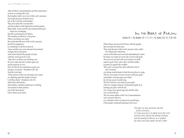$\omega$ n 19 = 2008 and 2008 and 2008 and 2008 and 2008 and 2008 and 2008 and 2008 and 2008 and 2008 and 2008 and 2008 and 2008 and 2008 and 2008 and 2008 and 2008 and 2008 and 2008 and 2008 and 2008 and 2008 and 2008 and 200 After all these Commandments and the instructions on how to worship the Lord, the Israelites built a new tent of the Lord's presence and made precious furniture for it, just as the Lord had commanded. They also made the Covenant Box and the clothes for the high priest and the priests. Meanwhile, Aaron and his sons learned all the pre scripts for worshiping that the Lord had given to Moses. The Israelites worked for a long time. When everything was ready, they dedicated the tent of the Lord's presence and all its equipment, by anointing it with the sacred oil. Aaron and his sons were dressed and anointed as high priest and priests. And Aaron blessed the people of Israel with the words given by God, "May the Lord bless you and keep you; the Lord make his face to shine upon you and be gracious to you; the Lord lift up his countenance upon you, and give you peace" (Numbers 6:24–26). And the Lord said, "If the priests in this way pronounce my name as a blessing upon the people of Israel, I will bless them" (Numbers 6:22–27). After these dedications, the Israelites carefully packed up everything and started on their journey out of the Sinai desert, led by Moses and Aaron.

*(Exodus 25—26; Numbers 10—11; 13—14; Surahs 2:57, 61; 5:20–26)*

When Moses and Aaron left Sinai with the people, they traveled for three days. They took the tent of the Lord's presence (also called the Tabernacle) with them, woven of fine linen and wool and embroidered in colors. Its frame was made of wood and covered with gold. The tent was covered with several pieces of cloth made of goat's hair, ram's skin, and fine leather, to protect it against the weather. The Lord's covenant box (also called the Ark of the Covenant) was being carried ahead to find the next place to camp. The box was made of wood covered with pure gold; and golden carrying rings were fitted for its four acacia wooden legs. The lid of the box was made of pure gold, with two winged creatures of hammered gold on it, forming one piece with the lid. Two wings were spread upward and the other two covered the lid. The two stone tablets of the Ten Commandments were carried in the box, as a reminder of the covenant God would keep, if the people continued listening to the Lord.

> *The Qur'an also mentions the box of the covenant; in it lay assurance of safety from the Lord, and the relics left by the family of Musa and the family of Harun, as a symbol for those who have faith (Surah 2:248).*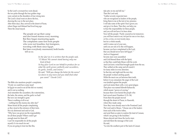So the Lord's covenant box went ahead; the two poles through the four golden rings were carried on the shoulders of four strong men. The Lord's cloud went on above the box, showing the way to the next place. After three days, they arrived in the desert of Paran, where Hagar and Ishmael had lived long ago. There the cloud stayed.

> The people set up their camp and also found manna every morning. But they began murmuring again. The complaints came first from people who were not Israelites, but foreigners, traveling with them since Egypt. But later everybody murmured; both books tell us so.

> > *In the Qur'an it is written that the people said, "O Musa! We cannot stand having only one kind of food. So beg your Lord on our behalf to produce for us what the earth grows: potherbs and cucumbers, its garlic, lentils, and onions." He said, "Will you change the better for the worse? Go down to any town and you shall find what you want!" (Surah 2:61)*

The Bible also mentions people's complaints, "If only we could have some meat! In Egypt we used to eat all the fish we wanted, and it cost us nothing. And remember the cucumbers, the watermelons, the leeks, the onions, and the garlic we had! But now our strength is gone. There is nothing at all to eat —nothing but this manna day after day!" Moses heard all the people complaining, as they stood at the entrance of their tents. He was distressed and said to God, "Why have you given me the responsibility for all these people? Where could I get enough meat for them all? I can't be responsible for all the people myself; it's too much for me! If you are going to treat me like this,

 $\omega = 0.25$  Unit  $\omega$  is the constraint of the Desert Constraint of the Desert Constraint of the Desert Desert Desert Desert Desert Desert Desert Desert Desert Desert Desert Desert Desert Desert Desert Desert Desert Desert take pity on me and kill me." Then the Lord said, "Gather seventy respected men who are recognized as leaders of the people, bring them to me at the tent of my presence. I will take some of the spirit I have given you and give it to them. Then they can help you to bear the responsibility for these people, and you will not have it to bear alone. Now tell the people: 'Purify yourselves for tomorrow; you will have meat to eat, not just for one or two days, or five, or ten, or even twenty days, but for a whole month, until it comes out of your ears, until you are sick of it; this will happen, because you have complained to the Lord, that you should never have left Egypt.' " And so it happened. Seventy men were assembled and God blessed them with the Spirit, so that they could help Moses with his work. And God sent a wind that brought quails from the sea. They settled on the camp and all round it for many miles in every direction. So that day and night and the next day the people worked catching quails. While the meat was yet between their teeth, before it was consumed, the anger of the Lord was kindled against the people, and God smote them with a very great plague. That place was named Kibroth-hattaavah, which means "graves of craving," because there were buried the people who had craved meat (Numbers 11:31–34). From there the people moved through the desert of Paran, to Haseroth, where they made camp. Now they were already near to the Promised Land. The Lord said to Moses, "Choose one of the leaders from each of the twelve tribes, and send them as spies to explore the land of Canaan, which I am giving to the Israelites." Moses obeyed and chose the twelve men and told them the message of the Lord. He said, "Go into the southern part of the land of Canaan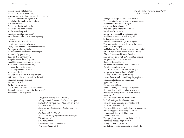and then on into the hill country. Find out what kind of country it is, how many people live there, and how strong they are. Find out whether the land is good or bad and whether the people live in open towns or in fortified cities. Find out whether the soil is fertile and whether the land is wooded. And be sure to bring back some of the fruits that grow there." It was the season when grapes were beginning to ripen. The men did what Moses had said and after forty days they returned to Moses, Aaron, and the whole community of Israel. They reported what they had seen and showed them the fruit they had brought: one bunch of grapes, so heavy that it took two men to carry it on a pole between them. They also brought back some pomegranates and figs. And they told about the fertile land, and about the powerful people and the large and fortified cities, where giants lived. Yet Caleb, one of the two men who trusted God, said, "We should attack now and take the land; we are strong enough to conquer it, if we have trust in God." But the other ten men said, "No, we are not strong enough to attack them; the people there are more powerful than we are." And they made the people afraid.

> *The Qur'an tells us that Musa said, "O my people! Remember God's favor for you, when Allah gave you what Allah had not given to any other people. Enter the holy land which Allah has assigned to you." But they said, "O Musa! In this land are a people of exceeding strength: We will not enter it until they leave it. If they leave, then we shall enter. You go, and your Lord,*

*and you two fight, while we sit here" (Surah 5:20–24).* 

All night long the people cried out in distress. They complained against Moses and Aaron, and said, "It would have better to die in Egypt or even here in the wilderness! Why is the Lord taking us into that land? We will be killed in battle, and our wives and children will be captured. Wouldn't it be better to go back to Egypt?" So they said to one another, "Let's choose a leader and go back to Egypt!" Then Moses and Aaron bowed down to the ground in front of all the people. And Joshua and Caleb, the two men who trusted in God, tore their clothes in sorrow and said to the people, "The land we explored is an excellent land. If the Lord is pleased with us, God will take us there and give us that rich and fertile land. Do not rebel against the Lord and don't be afraid of the people who live there. We will conquer them easily. The Lord is with us and has defeated the gods who protected them; so don't be afraid." The whole community was threatening to stone them to death; but suddenly the people saw the dazzling light of the Lord's presence appear over the tent. The Lord said to Moses, "How much longer will these people reject me? How much longer will they refuse to trust in me, even though I have performed so many miracles among them? I will send an epidemic and destroy them, but I will make you the father of a nation that is larger and more powerful than they are!" But Moses said to the Lord, "You brought these people out of Egypt by your power. When the Egyptians hear what you have done to your people, they will tell the people who live in this land. These people have already heard that you, Lord, are with us, that you are plainly seen when your cloud stops over us, and that you go before us in a pillar of cloud by day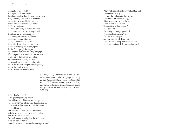$\omega = 0.7$  and  $\omega = 0.9$  and  $\omega = 0.9$  and  $\omega = 0.9$  and  $\omega = 0.9$  and  $\omega = 0.9$  and  $\omega = 0.9$  and  $\omega = 0.9$  and  $\omega = 0.9$  and  $\omega = 0.9$  and  $\omega = 0.9$  and  $\omega = 0.9$  and  $\omega = 0.9$  and  $\omega = 0.9$  and  $\omega = 0.9$  and  $\omega = 0.9$  a and a pillar of fire by night. Now if you kill all your people, the nations who have heard of your fame will say that you killed your people in the wilderness because You were not able to bring them into the land you promised to give them." And Moses continued, "So now, Lord, I pray, show us your power and do what you promised when you said, 'I, the Lord, am not easily angered, and I show great love and faithfulness and I forgive sin and rebellion, although I will not fail to punish.' So now, Lord, according to the greatness of your unchanging love, forgive, I pray, the sin of these people, just as you have forgiven them ever since they left Egypt." After this prayer from Moses the Lord answered, "I will forgive them, as you have asked. But I promise that as surely as I live, and as surely as my presence fills the earth, none of these people, except Caleb and Joshua, will live to enter that land, which I promised to their ancestors."

*Musa said, "Lord, I have authority over no one except myself and my brother; judge the two of us and those disobedient people." Allah said to him, "This land is forbidden to them. For forty years they will wander the earth aimlessly. Do not grieve over the ones who disobey" (Surah 5:25–26).* 

And the Lord continued, "Now give the people my answer, 'You said that your children would be captured, but I will bring them into the land that you rejected, and it will be their home. You will die here in the wilderness. Your children will wander in the wilderness for forty years, suffering for your unfaithfulness, until the last one of you dies. Turn back tomorrow and go into the wilderness in the direction of the Red Sea. You will know what it means to have me against you!'

When the Israelites heard what the Lord had said, they mourned bitterly. But early the next morning they started out to invade the hill country, saying, "Now we are ready to go to the place which the Lord told us about. We admit that we have sinned." But Moses said, "Why are you disobeying the Lord? You will not succeed. Don't go! The Lord is not with you, and your enemies will defeat you." Yet they dared to go up into the hill country. But they were attacked, defeated, and pursued.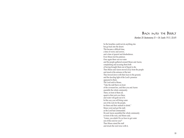### Back into the Desert

### *(Numbers 20: Deuteronomy 31—34; Surahs 19:51; 33:69)*

So the Israelites could not do anything else but go back into the desert. This became a difficult time, a time of worry and sorrow, and a time of quarrel and disobedience. Even Moses lost his patience. Once again there was no water and the people gathered around Moses and Aaron, complaining and accusing them both of having brought them out of Egypt to die. Then Moses and Aaron moved away from the people and stood at the entrance of the tent. They bowed down with their faces to the ground, and the dazzling light of the Lord's presence appeared to them. The Lord said to Moses, "Take the staff that is in front of the covenant box, and then you and Aaron assemble the whole community. There, in front of them all, speak to that rock over there, and water will gush out of it. In this way you will bring water out of the rock for the people, for them and their animals to drink." Moses went and got the staff, as the Lord had commanded. He and Aaron assembled the whole community in front of the rock, and Moses said, "Listen, you rebels! Do we have to get water out of this rock for you?" Then Moses raised the staff and struck the rock twice with it,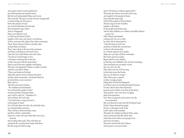and a great stream of water gushed out, and all the people and animals drank. But the Lord reprimanded Moses and Aaron. The Lord said, "Because you did not have enough faith to acknowledge my holy power before the people of Israel, you will not lead them into the land that I promised to give them." And so it happened. Moses was called by God to climb up the Mount of Hor, together with Aaron and Aaron's son Eleazar. So they went up in the sight of the whole community. There, Moses removed Aaron's priestly robes and put them on Eleazar. Then, Aaron died on the top of the mountain, and Moses and Eleazar came back down. Later the Lord called Moses and said to him, "You haven't much longer to live. Call Joshua and bring him to the tent, so that I may give him his instructions." Moses went to the tent, together with Joshua. Then the Lord appeared to them in a pillar of cloud. And the Lord said to Moses, "Place your hands on his head. Make him stand in front of Eleazar the priest and the whole community. And before them all proclaim him as your successor." Moses did so. Then the Lord said to Joshua, "Be confident and determined. You will lead the people of Israel into the land that I promised them, and I will be with you." (Numbers 27) And to Moses, the Lord said, "You shall write a song and teach it to the people of Israel. For I will take them into this rich and fertile land, as I promised their ancestors. They will have all the food they want, and they will live comfortably. However, a time will come when they turn away from me and worship other gods. They will reject me and break the covenant that I made with them. But this song will still be sung,

<sup>100</sup> <sup>101</sup> Unit 5: The Desert Journey: and it will stand as evidence against them." That same day, Moses wrote down the song and taught it to the people of Israel. He recited the entire song while all the people of Israel listened. Then he sang it for the Israelites, together with Joshua. So the people learned the song. And for their children it is written in the Bible (Deuter onomy 32). When Moses had finished writing God's law on a scroll, he said to the Levitical priests, "Take this book of God's law and place it beside the covenant box, so that it will remain there as a witness against God's people. Make sure you obey all these commands that I have given you today. Repeat them to your children, so that they may faithfully obey all God's teachings. These teachings are not empty words; they are your very life. Obey them and you will live long in that land across the Jordan that you are about to occupy." Then, Moses gave a speech to these younger people, telling them all that had happened in all those years of traveling through the desert. For they did not have that experience because many of them were born in the desert. Their parents, who were slaves in Egypt, died in the meantime. Now these young men and women were the new generation that was allowed to enter into the Promised Land. Finally, Moses blessed his people. He gave a blessing to each of the twelve tribes of the Israelites. Thereafter, he climbed up Mount Nebo, alone. And God showed him the whole land where the twelve tribes were going to live, each in its own place. Then the Lord took the life of Moses and his grave was never found.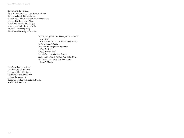Unit 5: The Desert Journey:

It is written in the Bible, that there has never been a prophet in Israel like Moses: the Lord spoke with him face to face. No other prophet has ever done miracles and wonders like those that the Lord sent Moses to perform against the king of Egypt. No other prophet has been able to do the great and terrifying things that Moses did in the sight of all Israel.

> *And in the Qur'an this message to Muhammad is written: "Also mention in the book the story of Musa; for he was specially chosen. He was a messenger and a prophet (Surah 19:51). You all who believe! Be not like those who hurt Musa. Allah cleared him of the lies they had uttered. And he was honorable in Allah's sight" (Surah 33:69).*

Since Moses had put his hands on Joshua's head to bless him, Joshua was filled with wisdom. The people of Israel obeyed him and kept the commands that the Lord had given them through Moses; so is written in the Bible.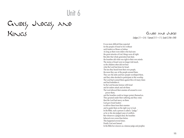# Unit 6

Guides, Judges, and Kings

### GUIDES AND JUDGES

*(Judges 2:1—3:4; 1 Samuel 2:11—7:1; Surah 2:246–248)*

It was more difficult than expected for the people of Israel to live without such leaders as Moses or Joshua. As long as there were elders who had seen the great miracles of God, things were all right. But after that whole generation had died, the Israelites did what was right in their own minds. The stories of Israel were no longer told much, so the children often did not hear what the Lord had done for Israel. The less they heard from their own people, the more they saw of the people around them. They saw the idols and how people worshiped them, and they often decided to participate in this worship. The Lord had warned them against this evil many times and had forbidden it. So the Lord became furious with Israel and let raiders attack and rob them. The Lord allowed their enemies all around to overpower them, and the Israelites could no longer protect themselves. They groaned under their suffering and they cried; then the Lord had mercy on them. God gave Israel leaders to deliver them from their enemies and to guide them on the right way to God. In the Bible, such a person is called a "judge," as he or she also judged cases of conflicts. But whenever a judged died, the Israelites behaved even worse than before. This happened several times. Finally God sent Samuel. In the Bible he is known as a famous judge and prophet,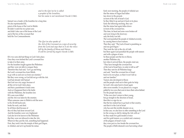*and in the Qur'an he is called a prophet of the Israelites, but his name is not mentioned (Surah 2:246).* 

Samuel was a leader of the Israelites for a long time. He also reprimanded Eli, priest of the house of the Lord in Shiloh. Eli didn't watch his two priest sons and didn't take care of the house of the Lord and of the box of the covenant that held the Ten Commandments.

> *The Qur'an also speaks of the Ark of the Covenant as a sign of security from the Lord and says that in it are the relics left by the family of Musa and Harun. It will be carried by angels (Surah 2:248).*

Eli's two sons did bad things in God's holy place. Once they even fetched the Lord's covenant box to take it to their army. For the Israelites fought against the Philistines and they were not able to conquer them. Therefore they had said, "Let's go and bring the Lord's covenant box from Shiloh, to go with us and save us from our enemies." But they were wrong, as God did not go with the Ark. God had already told Samuel that God was very angry because of all the evil in God's holy place, and that a punishment would come. And so it happened that in the battle with the Philistines, the Israelites lost. Eli's sons were killed and the Ark was taken by the enemies. When someone came to Shiloh to tell the news to Eli, Eli fell backward, broke his neck, and died. So all three died because of the evil they had done toward God. And the Israelites were very frightened. God also let it be known to the Philistines that they were not allowed to take the Ark. Wherever they put the Ark, something bad happened. First, they took it into the temple of their god Dagon, in Ashdod, and set it up beside his statue.

Now the content of the content of the content of the content of the content of the content of the content of the content of the content of the content of the content of the content of the content of the content of the con Early next morning, the people of Ashdod saw that the statue of Dagon had fallen face down to the ground, in front of the Ark of Israel's God. So they lifted it up and put it back in its place. Early the following morning, they saw that the statue had again fallen down in front of the covenant box. This time, its head and arms were broken off and were lying in the doorway; only the body was left. The Lord punished the people of Ashdod severely, by causing them to have tumors. Then they said, "The God of Israel is punishing us and our god Dagon." They took the Ark to the city of Gath, but there again God punished the people with tumors and with a plague of mice. So these people sent the box to Ekron, another Philistine city, but when it arrived there, the people cried out, "They have brought the covenant box of the God of Israel here, in order to kill us all!" Then they sent for all Philistine kings and said, "Send the covenant box of Israel back to its own place, so that it won't kill us and our families." Tumors also developed in Ekron and the people cried out to their gods for help. So God's Ark came back to Israel again after seven months. It was placed on a wagon pulled by two cows that were to leave their calves behind. For the people had said, "If the cows don't return to their young, but go straight in the direction of Israel, then this is a sign for us: that the box indeed has to go back to that country, and that it is the God of Israel who has sent this terrible disaster on us. In that case, we also have to offer something to the Lord for the wrong we did by taking the Ark with us." So they made five gold models of mice and five gold tumors, as a symbol and a memory of the plagues of Israel's God; they were put in a box beside the covenant box. The people of Beth-shemesh were harvesting wheat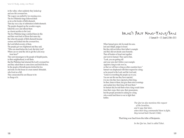in the valley, when suddenly they looked up and saw the covenant box. The wagon was pulled by two mooing cows. The five Philistine kings followed them as far as the border of Beth-shemesh. That day was a day of celebration in Beth-shemesh. The people chopped up the wooden wagon, killed the cows and offered them as a burnt sacrifice to the Lord. The five Philistine kings watched them do this and then went back to Ekron that same day. But when the people of Beth-shemesh became curious and looked into the covenant box, the Lord killed seventy of them. The people got very frightened and they said, "Who can stand before the Lord, this holy God? Where can we send the Ark to get the Lord away from here?" They sent messengers to the people of Kirjath-jearim,

in their neighborhood, to tell them that the Philistines had returned the Lord's covenant box and they asked them to come down and fetch the box. So the people of Kiriath-jearim fetched the box and took it to the house of a man named Abinadab, who lived on a hill. They consecrated his son Eleazar to be

in charge of it.

# *(1 Samuel 8—17; Surah 2:246–251)*

Let us a subset of the second state of the second state of the second state of the second state of the second state of the second state of the second state of the second state of the second state of the second state of th When Samuel grew old, he made his sons, Joel and Abijah, judges in Israel. But they did not follow their father's example and they did not decide cases honestly. Then all leaders of Israel met together and went to Samuel. They said to him, "Look, you are getting old and your sons don't follow your example. Appoint a king to rule over us, so that we will have a king as other countries have." Samuel was displeased with their request for a king; so he prayed to the Lord; and the Lord said, "Listen to everything the people say to you. You are not the one they have rejected; it is me who they have rejected as their king. So then, listen to them, but give them strict warnings and explain how their king will treat them." So Samuel did; he told them what a king would claim from their crops, their sons, their possessions; but the people persisted in asking for a king who would lead them to war to fight their battles.

*The Qur'an also mentions this request of the Israelites, and it says that later, when their king commanded them to fight, they turned back (Surah 2:246).*

That king was Saul from the tribe of Benjamin.

*In the Qur'an, Saul is called Talut.*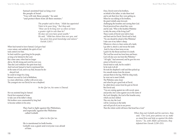Samuel anointed Saul as king over the people of Israel. "You will rule these people," he said, "and protect them from all their enemies."

> *The prophet said to them, "Allah has appointed Talut to be your king," But they said, "How can he be king over us when we have a greater right to rule than he? He does not even have great wealth." He said, "Allah has chosen him over you, and has given him great knowledge and stature" (Surah 2:247).*

When Saul turned to leave Samuel, God gave Saul a new nature, and suddenly the spirit of God took control over him. So Saul could be a good king for his people, as long as he listened to the Lord. But a time came, when Saul no longer did so. He felt strong and went his own way. Then the Lord withdrew the spirit from Saul. And God sent Samuel to Saul to reprimand him in the name of God, and to say that, because he disobeyed God, he could no longer be a king. Samuel was sent by God to Bethlehem, to a man called Jesse, a father with seven sons. The youngest one was David; he was a shepherd.

*In the Qur'an, his name is Dawud.*

He was anointed king by Samuel. David first remained at home to take care of his father's sheep. His brothers were commanded by king Saul to become soldiers in his army.

> They had to fight against the Philistines, and especially against the Philistine called Goliath

> > *—Jalut in the Qur'an.*

He is mentioned in both books. Goliath was a giant and everyone was afraid of him.

Once, David went to his brothers, on behalf of his father, to take them food and to ask them how they were getting on. When he was talking to his brothers, the giant Goliath came forward, challenging the Israelites and cursing their God. David perceived how afraid they were and he said, "Who is this heathen Philistine to defy the army of the living God?" These words of David were told to Saul, and Saul sent for David. David said to Saul, "No one should be afraid of this Philistine! I take care of my father's sheep. Whenever a lion or a bear carries off a lamb, I go after it, attack it, and rescue the lamb. And if a lion or bear turns on me, I grab it by the throat and beat it to death. The Lord has saved me from lions and bears; God will also save me from this Philistine." "All right," Saul answered; and he gave his own armor to David to wear. David tried to walk, but he couldn't. So he took it all off. He took his shepherd's staff and then picked up five smooth stones from the stream and put them in his bag. With his sling ready, he went out to meet Goliath. The Philistine came closer and when he got a good look at David, he called down curses from his god on David. But David said, "You are coming against me with sword, spear, and javelin, but I come against you in the name of the Lord Almighty, the God of the Israelite army, which you have defied. This very day the Lord will be victorious in the battle and will put all of you in our power. Then the whole world will know that Israel has a God."

> *When they met Goliath and his warriors, they said, "Our Lord, pour patience on us; make us stand firm and help us against the disbelievers." So, with Allah's permission, they defeated him (Surah 2:250–251).*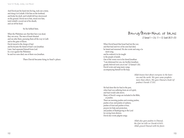And David put his hand into his bag, took out a stone, and slung it at Goliath. It hit him on the forehead, and broke his skull, and Goliath fell face downward on the ground. David ran to him, stood over him, took Goliath's sword out of his sheath, and cut off his head.

#### So he killed him.

When the Philistines saw that their hero was dead, they ran away. The men of Israel shouted and ran after them, pursuing them all the way to Gath and to the gates of Ekron. David stayed in the charge of Saul and he became the friend of Saul's son Jonathan. Later, Saul separated himself from God. In a war against the Philistines he and two sons died; one of them was Jonathan.

Then David became king in Saul's place.

Dawud/David—King of Israel *(2 Samuel 1—2:6; 11—12; Surah 38:21–25)*

When David heard that Israel had lost the war, and that Saul and two of his sons had died, he fasted and mourned. He also wrote and sang a lament song; and he ordered it to be taught to the people of Judah. One of the verses was to his friend Jonathan: "I am distressed for you, my brother Jonathan; greatly beloved were you to me" (2 Samuel 1:26). David wrote and sang many songs, accompanying himself on the harp.

> *Allah knows best about everyone in the heavens and the earth. We gave some prophets more than others. We gave Dawud a book (of psalms) (Surah 17:55).*

He had done this for Saul in the past, when Saul was suffering from an evil spirit, and Saul would calm down. Many of David's songs are included in the Bible, as psalms. There are morning psalms and evening psalms, psalms of joy and psalms of sadness, psalms of trust and psalms of fear, prayers for help and protection, and psalms of thanksgiving to the Lord for saving from distress. David also wrote pilgrim songs.

> *Allah also gave psalms to Dawud, the Qur'an tells us (Surah 4:163). Allah graced Dawud with his favor.*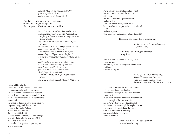*He said, "You mountains, echo Allah's praises together with him, and you birds also" (Surah 34:10).* 

David also wrote a psalm of repentance; he sang and prayed that psalm, after the prophet Nathan had come to him.

> *In the Qur'an it is written that two brothers who came to him asking him to 'Judge between us fairly—do not be unjust—and guide us to the right path. My brother has ninety-nine sheet and I just the one, and he said, 'Let me take charge of her,' and he overpowered me with his words." Dawud said, 'He has done you wrong by demanding to add your one to the flock." Then Dawud realized that Allah had been testing him and he realized his wrong in not listening to both sides before making a judgment. He asked his Lord for forgiveness, fell down on his knees and repented. Allah forgave him, and said, "Dawud, We have given you mastery over the land. Judge fairly between people" (Surah 38:22–26).*

Nathan told David a story

about a rich man who possessed many sheep and a poor man who had only one sheep. That poor man was ordered to give his sheep to the rich man, because the rich man had visitors and didn't like to slaughter one of his own sheep for the meal. The Bible tells that when David heard the story, He got very angry with that rich man. He said to the prophet Nathan that the man must be killed. But Nathan said to David, "You are that man. For you, who have enough, have taken Bathsheba, the only wife of Uriah, your officer in the army, and you had Uriah put in a dangerous place to have him killed."

David was very frightened by Nathan's words and by his own order to kill the rich man of the story. He said, "I have sinned against the Lord." Nathan replied, "The Lord forgives you; you will not die, but the newborn son of you and your new wife will die." And that happened. Then David sang a psalm of repentance (Psalm 51).

Their next son lived; that was Solomon.

*In the Qur'an he is called Sulaiman (Surah 38:30)*

David was a good king of Israel for a long time.

He was crowned in Hebron as king of Judah for seven years, and then in Jerusalem as king of the whole nation of Israel for thirty-three years.

> *In the Qur'an Allah says he taught Dawud how to soften iron and make chain mail coats to protect his men in their wars (Surah 34:10; 21:80).*

In that time, he brought the Ark of the Covenant to Jerusalem with great celebration. Dancing and offering sacrifices, David went ahead of the Ark. In Jerusalem, this covenant box was placed in a tent until the temple of the Lord was built. It was David's desire to have it built himself. But the Lord told him through the prophet Nathan that he was not the one to build the temple. One of his sons would become king and he would build God's temple. And so it happened.

> When David died, his son Solomon became Israel's king.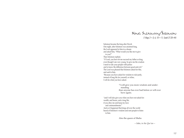King Sulaiman/Solomon *(1 Kings 2—3; 6; 10—11; Surah 27:20–44)*

Solomon became the king after David. One night, after Solomon was anointed king, the Lord appeared to him in a dream and asked him, "What would you like me to give to you?" Then Solomon replied, "O Lord, you have let me succeed my father as king, even though I am very young. So give me the wisdom I need to rule your people with justice and to know the difference between good and evil." The Lord was pleased that Solomon asked for this, and said to him, "Because you have asked for wisdom to rule justly, instead of long life for yourself, or riches, I will do what you have asked.

> "I will give you more wisdom and understanding than anyone has ever had before or will ever have again;

"and I will also give you what you have not asked for: wealth, and honor, and a long life, if you obey me and keep my laws and commandments." And so it happened that kings all over the world heard of Solomon's wisdom and sent people to listen to him.

Also the queen of Sheba

*—Saba, in the Qur'an—*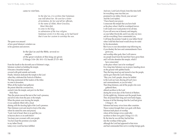#### came to visit him.

*In the Qur'an, it is written that Sulaiman was told about her. He sent her a letter of invitation, for her and all her officials, in the name of Allah, Most Gracious, Most Merciful, to come to the king in submission of the true religion. Sulaiman wrote it in this way, as he had heard that it was her custom to worship the sun.* 

The queen was amazed at how great Solomon's wisdom was in his questions and answers.

> In the Qur'an and the Bible, several ex amples of the great wisdom of this king are given (1 Kings 3:16–28; 10:1–13; Surah 27:15– 44).

From the fourth to the eleventh year of Solomon's reign, Solomon worked on building the temple. It became a beautiful temple, covered with gold outside and inside. Finally, Solomon dedicated the temple to the Lord when they celebrated the Festival of Shelters. The king summoned all the leaders of the tribes to come to Jerusalem. When all the leaders had gathered, the priests lifted the covenant box, carried it into the temple, and put it in the Most Holy Place. Then the priests moved the tent of the Lord's presence, and all its relics from the past, to the temple. When the priests were leaving the temple, it was suddenly filled with a cloud shining with the dazzling light of the Lord's presence. Then Solomon went and stood in front of the altar, where he raised his arms and prayed, "Lord, God of Israel, there is no god like you in heaven above or on earth below! You keep your covenant with your people. You have kept the promises you made to my father David; today every word has been fulfilled.

19 and 20 and 20 and 20 and 20 and 20 and 20 and 20 and 20 and 20 and 20 and 20 and 20 and 20 and 20 and 20 and 20 and 20 and 20 and 20 and 20 and 20 and 20 and 20 and 20 and 20 and 20 and 20 and 20 and 20 and 20 and 20 And now, Lord God of Israel, from this time forth let everything come true that you promised to my father, David, your servant." And the Lord replied, "I have heard your prayer. I consecrate this temple that you have built as the place where I shall be worshiped forever. I will watch over it and protect it for all time. If you will serve me in honesty and integrity, as your father David did, and if you obey my laws and do everything I have commanded you, I will keep the promise I made to your father David when I told him that Israel would always be ruled by his descendants. But if you or your descendants stop following me, if you disobey the laws and commandments I have given you, and worship other gods, then I will remove my people Israel from the land that I have given them and I will also abandon this temple, which I have consecrated as the place where I am to be worshiped." For a long time Solomon was in prayer, kneeling down on the ground with uplifted hands. Then the king stood up and turned to face the people, and he gave them the Lord's blessing, "May you, God's people, always be faithful to the Lord our God, obeying all God's laws and commandments, as you do today." Then King Solomon, and all the people who were gathered there, offered sacrifices to the Lord during the seven days of the Festival of Shelters. On the eighth day, Solomon sent the people home. They all praised their king and went home happy, because of all the blessings that the Lord had given  $(1$  Kings  $6 - 8)$ . Solomon had many wives from other countries. Those women brought their own gods with them. Solomon built places of worship where all his foreign wives could offer sacrifices to their own gods (1 Kings 11:1–13). By the time he was old they had led him into the worship of their gods, although the Lord had appeared to him twice and had commanded him not to worship foreign gods.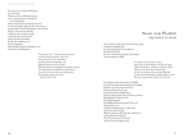The Lord was very angry with Solomon and said to him, "Because you have deliberately broken your covenant with me and disobeyed my commandments, and not set yourself an example for your son, he will not be able to reign over the whole country. I promise that I will take the kingdom away from you and give it to one of your officials. I will leave your son only one tribe, for the sake of my servant David and for the sake of Jerusalem, the city I have made my own." And so it happened. Only the lands of Judah and Benjamin were for Solomon's son Rehoboam.

> *The Qur'an says, "Some of those who had received Scripture before, threw the Book of God over their shoulders as if they had no knowledge, and followed what the evil ones had fabricated about the kingdom of Soloman instead. Not that Soloman himself was a disbeliever. It was the evil ones who were disbelievers; they taught people witchcraft" (Surah 2:101–102).*

### KINIGS ANID PROPHETS

*(1 Kings 18; Surahs 37:123–132; 6:86)*

After Solomon's death nearly all the successive kings continued worshiping idols. As a result, the people of Israel followed and they left the Lord. However, God still sent prophets to the people. The first of these was Elijah.

> *In the Qur'an, his name is Ilyas. Ilyas came to the Israelites, the Qur'an says, and he asked them, "Will you not fear Allah? Will you call upon Ba'al and forsake the best of creators, the Lord and Cherisher and the Lord and Cherisher of your fathers of old?" But they rejected him (Surah 37:123–132).*

This prophet is also written about in the Bible. On Mount Carmel he demonstrated to the Israelites that only God is the Lord, and not Ba'al. It had not rained for three years because the people worshiped Ba'al, the Ba'al priests prayed to Ba'al for hours and hours, imploring Ba'al to allow it to rain, but nothing happened. Then Elijah sacrificed and prayed to the Lord, asking God for rain. And the Lord immediately sent down fire, and it burnt up the sacrifice. When the people saw this, they threw themselves on the ground and exclaimed, "The Lord is God, the Lord is God!" That day, heavy rain began to fall.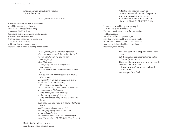After Elijah was gone, Elisha became a prophet of God.

### *In the Qur'an his name is Alisa'.*

He took the prophet's robe that was left behind when Elijah was taken up to heaven. Elisha had the same power to do things as his master Elijah had done. As a prophet he took action against Israel's enemies when they came with their armies. And the enemies stood in awe of Israel's Lord (2 Kings 6—8; Surah 36:48). In this way, there were many prophets who set the right example to the kings and the people.

> *In the Qur'an, Job is also called a prophet; there, his name is Aiyub; he cried to the Lord, "Satan has afflicted me with distress and suffering!" And Allah said, "Truly, we found him full of patience and constancy. How excellent is this servant; ever did he turn to us! And we gave him back his people and doubled their number, as a grace from us, and for commemoration, for all who have understanding" (Job, passim; Surah 38:41–44). In the Qur'an too, Yunus (Jonah) is mentioned as an example to Muhammad. Yunus had to give Allah's message to the sinning people of Nineveh; Yunus fled away by boat, but was thrown overboard because he was found guilty of causing the heavy storm; and he was swallowed by a big fish and prayed for forgiveness to the Lord in the belly of the fish; and the Lord heard Yunus and made the fish spare Yunus (Surah 37:139–148). [End Section]*

The Bible also tells this story; here the prophet's name is Jonah. After the fish spewed Jonah up he went to Nineveh to warn the people, and they converted to the Lord. So the Lord did not punish that city (Surahs 21:87; 68:48–50; 37:139–148).

Jonah was angry, and he regretted warning them. Then the Lord spoke sternly to Jonah. The Lord pointed out to him that the great number of human beings and all the children living in that city more than a hundred and twenty thousand people as well as many animals—were all God's creatures. A prophet of the Lord should not neglect them, should he? (Jonah, passim)

> The Lord sent other prophets to the Israelites, but their names are not mentioned in the Qur'an (Surah 40:78). Those are the prophets who told the people the messages from God. Those prophets' words are included in the Bible as messages from God.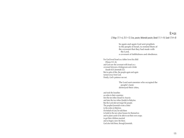## Exile

### *(2 Kings 17:1–6; 25:1–12; Ezra, passim; Nehemiah passim; Daniel 11:1–14; Surah 17:4–8)*

So again and again God sent prophets to the people of Israel, to remind them of the covenant that they had made with the Lord, a covenant of faithfulness and obedience.

For God loved Israel as a father loves his child (Hosea 11:1–4), and God saw the covenant with Israel as a covenant between a bridegroom and a bride (Isaiah 62:5; Jeremiah 2:2). But in spite of this, the people again and again turned away from God. Finally, God's patience ran out.

> The Lord sent enemies who occupied the people's land, destroyed their cities,

and took the Israelites as exiles to their countries; first the ten tribes (Israel) to Assyria and later the two tribes (Judah) to Babylon. But the Lord did not forget the people. The prophet Jeremiah wrote a letter to the exiles in Babylon. On behalf of God, he told them to build in the new place houses for themselves and to plant yards to be able to eat their own crops; to get their children married and so begin a new life there. God also told them, through Jeremiah,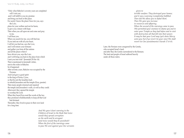"Only when Babylon's seventy years are completed will I visit you, and I will fulfill to you my promise and bring you back to this place. For surely I know the plans I have for you, says the Lord, plans for your welfare and not for harm, to give you a future with hope. Then when you call upon me and come and pray to me, I will hear you. When you search for me, you will find me; If you seek me with all your heart, I will let you find me, says the LORD, and I will restore your fortunes and gather you from all the nations and all the places where I have driven you, says the LORD, and I will bring you back to the place from which I sent you into exile" (Jeremiah 29:10a–14). That is mentioned in Jeremiah's letter, sent to the exiles in Babylon. So it happened: After seventy years, Babylon was occupied by the Persians. And God gave a good spirit to the king of Persia, Cyrus, so that he sent the Israelites back to rebuild Jerusalem and the temple (Ezra, passim). Then many people returned and repaired the temple and Jerusalem's walls, as well as they could. Afterward, they opened the temple to worship the Lord. When they heard Ezra read the words of the law, they promised wholeheartedly to keep all that God had dictated. Thereafter, they lived in peace in their own land for a long time.

> *And We gave (clear) warning to the Children of Israel in the Book that twice would they spread corruption on the earth and be arrogant (and twice would they be punished)! When the first of the warnings came to pass We sent against you Our servants*

#### *given to*

*terrible warfare: They destroyed your homes; and it was a warning (completely) fulfilled. Then did We allow you to defeat them. Then We gave you increase in resources and offspring. When the second of the warnings came to pass (We permitted your enemies) to shame you and to enter your Temple as they had before and to visit with destruction all that fell into their power. It may be that your Lord may (yet) show Mercy unto you; but if ye revert (to your sins) We shall revert (to Our punishments) (Surah 17:4–8).*

Later, the Persians were conquered by the Greeks, who occupied Israel's land; and after that, the Greeks surrendered to the Romans. The land and people of Israel suffered heavily under all those rulers.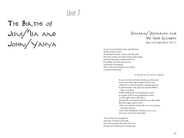# Unit 7

The Births of Jesus/'Isa and John/Yahya



So now it was the Romans who ruled the land and the people of Israel. The Romans had other customs and other gods. But Israel's priests were still in charge of the temple, and there the people worshiped the Lord. In the Bible, one of the daily services in particular is mentioned. That was the day Zechariah was working as a priest in the temple.

*In the Qur'an, his name is Zakaria.* 

It was his turn to burn incense on the altar, so he went into the temple of the Lord, while the crowd of people outside prayed. In both books—the Qur'an and the Bible this is written. While Zechariah was doing his work, an angel of the Lord appeared to him on the right side of the altar. Zechariah was afraid when he saw the angel. But the angel said to him, "Don't be afraid, Zechariah, for your prayer has been heard. Your wife Elizabeth will bear you a son, and you will name him John.

"You will have joy and gladness, and many will rejoice at his birth, for he will be great in the sight of the Lord He must never drink wine or strong drink;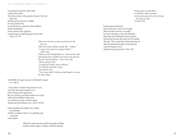even before his birth he will be filled with the Holy Spirit. He will turn many of the people of Israel to the Lord their God. With the spirit and power of Elijah he will go before him, to turn the hearts of parents to their children, and the disobedient to the wisdom of the righteous, to make ready a people prepared for the Lord" (Luke 1:13–17).

> *This son to be born is also mentioned in the Qur'an. There the name of John sounds like "Yahya," "a name never given to anyone before," Allah says. Zakaria could hardly believe it, as he and his wife had always been childless and were very old now. But the angel told him, "Your Lord said, 'That is easy for Me: I created you before, from nothing!' " Yet Zakaria asked for a sign. The answer was, "Your sign shall be that you shall speak to no one for three days."*

In the Bible, the angel's answer to Zechariah's request for a sign is,

 "I am Gabriel. I stand in the presence of God, and I have been sent to speak to you and to bring you this good news. But now, because you did not believe my words, which will be fulfilled in their time, you will become mute, unable to speak, until the day these things occur" (Luke 1:19–20).

In the meantime, the people were waiting for Zechariah and they wondered why he was spending such a long time in the temple.

> When he came out, he could not speak to them, and he made signs to them with his hands.

*Using signs, he told them to celebrate Allah's praises in the morning and in the evening, the Qur'an says (Surah 3:41).* 

So the people understood that he had seen a vision in the temple. When his time of service was ended he went to his home, to his wife Elizabeth. Some time later Elizabeth became pregnant; and she did not leave the house for five months. She said, "This is what the Lord has done for me when God looked favorably on me and took away the disgrace I have endured among my people" (Luke 1:25).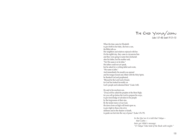The Child Yahya/John *(Luke 1:57–80; Surah 19:12–15)*

When the time came for Elizabeth to give birth to her baby, she bore a son, the Bible tells us. Her neighbors and relatives rejoiced with her. On the eighth day, they came to circumcise him and they were going to name him Zechariah after his father, but his mother said, "No! His name is to be John." His father could not yet speak, but he asked for a writing tablet and wrote, "His name is John." And immediately his mouth was opened and his tongue loosed and, filled with the Holy Spirit, he thanked God and prophesied, "Blessed be the Lord God of Israel, for God has looked favorably on God's people and redeemed them" (Luke 1:68).

He said to his newborn son, "[You] will be called the prophet of the Most High; for you will go before the Lord to prepare his ways, to give knowledge of salvation to his people by the forgiveness of their sins. By the tender mercy of our God, the dawn from on high will break upon us, to give light to those who sit in darkness and in the shadow of death, to guide our feet into the way of peace" (Luke 1:76–79).

> *In the Qur'an it is told that Yahya that's John later got Allah's message: "O Yahya! Take hold of the Book with might."*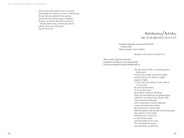Unit 7: The Births of Jesus/'Isa and John/Yahya:

*And we gave him wisdom even as a youth, and pity for all creatures as from us, and purity: He was devout and kind to his parents, and he was not overbearing or rebellious. So peace on him the day that he was born, the day that he dies, and the day that he will be raised up to life again!" (Surah 19:12–15)* 

Maryam/Mary *(Luke 1:26–38; Surahs 3:35–37, 42–51; 4:171)*

Another message was sent from God to the earth. That message went to Mary.

*Maryam is her name in the Qur'an.* 

Who was she? A girl from Nazareth, promised in marriage to a man named Joseph, from the descendants of David, the Bible tells us.

> *The Qur'an first tells us something about her parents. 'Imran is the Arabic name of her father, and the Qur'an tells that her mother prayed to Allah, "O my Lord! I do dedicate to you what is in my womb for your special service. So accept this of me: for you hear and know all things." When she was delivered, she prayed again, "Behold! I am delivered of a female child. I have named her Maryam and I commend her and her offspring to your protection from Satan, the rejected one" (Surah 3:36). When her parents had cared for her for some years, they took her to the temple to dedicate her to the Lord, as they had promised; and they prayed to the Lord. The Lord heard the prayer and graciously, accepted her.*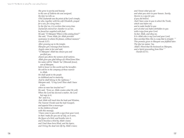136 157 136 6 6 6  $\mu$  is the state of the Births of The Births of the Births of the Births of The Births of the Births of the Births of The Births of The Births of The Births of the Births of the Births of The Births of *She grew in purity and beauty: to the care of Zakaria she was assigned, the Qur'an tells us. (This Zachariah was the priest of the Lord's temple, he who, together with his wife Elizabeth, prayed for a son, for a long time.) In the Qur'an, it is written that every time Zachariah entered her chamber to see her, he found her supplied with food. He said, "O Maryam! Where is this coming from?" She said, "From Allah, for Allah provides sustenance to whom He pleases, without measure" (Surah 3:37). After growing up in the temple, Maryam got a message from heaven. Angels came to her and said, "O Maryam! Allah has chosen you and purified you, chosen you above the women of all nations. Allah gives you glad tidings of a Word from Him: his name will be 'Masih 'Isa' [Messiah Jesus], son of Maryam, held in honor in this world and the hereafter. He will be in the company of those nearest to Allah. He shall speak to the people in childhood and in maturity. And he shall belong to the righteous." Maryam said, "O my Lord! How shall I have a son, when no man has touched me?" He said, "Even so; Allah creates what He will; When the Lord has decreed a matter, the Lord but says to it, 'Be!' and it is. And Allah will teach him the book and Wisdom, The Tawrat (Torah) and the Injil (Gospel), and appoint him a messenger to the children of Israel with this message, 'I have come to you with a sign from your Lord, in that I make for you out of clay, as it were, the figure of a bird, and breathe into it, and it becomes a bird by Allah's leave; and I heal those born blind, and the lepers, and I bring the dead into life by Allah's leave;*

*and I know what you eat and what you store in your houses. Surely, therein is a sign for you if you did believe. And I have come to you to attest the Torah, which was before me, and to make lawful to you part of what was before forbidden to you with a sign from your Lord. So fear Allah, and obey me. It is Allah who is my Lord and your Lord; then worship Him; this is a way that is straight.' " This promise given to Maryam was fulfilled later. The Qur'an names 'Isa, Allah's Word that He bestowed on Maryam, and a Spirit proceeding from Him' " (Surah 4:171).*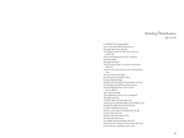Mary/Maryam *(Luke 1:25–56)*

In the Bible it is the angel Gabriel who is sent to give Mary the good news. The angel came to her and said, "Greetings, favored one! The Lord is with you" (Luke 1:28). These words affected her and she wondered what they meant. The angel said to her, "Don't be afraid, Mary, for you have found favor with God. And now, you will conceive in your womb and bear a son, and you will name him Jesus. He will be great, and will be called the Son of the Most High, and the Lord God will give him the throne of David. He will reign over the house of Jacob forever, and of his kingdom there will be no end" (Luke 1:30b–33). Mary said to the angel, "How shall this be, since I have no husband?" The angel answered, "The Holy Spirit will come upon you, and the power of the Most High will overshadow you; therefore the child to be born will be holy; he will be called the Son of God. And now, your relative Elizabeth in her old age has also conceived a son; and this is the sixth month for her who was said to be barren. For nothing will be impossible with God." Then Mary said, "Here am I, the servant of the Lord; let it be with me according to your word."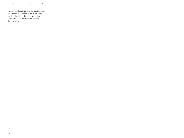Then the angel departed from her (Luke 1:35–38). Soon afterward Mary hurried off to Elizabeth. Together they thanked and praised the Lord. Mary stayed there for about three months, the Bible tells us.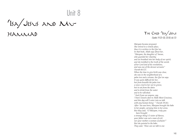Unit 8

'ISA/JESUS AND MU-

h amm da



*Maryam became pregnant. She retired to a remote place, thus it is written in the Qur'an. In that book, Allah says about her, "Maryam, the daughter of 'Imran, who guarded her chastity; and we breathed into her body of our spirit; and she testified to the truth of the words of her Lord and of his revelations, and was one of the devout servants" (Surah 66:12). When the time to give birth was close, she was in the neighborhood of a palm tree and a stream, the Qur'an says. It was quite difficult for her, but from beneath the palm tree a voice cried to her not to grieve, but to eat from the dates and to drink from the water and to be refreshed. "And if you see anyone, say, 'I have vowed a fast to Allah Most Gracious, and this day will I enter into no talk with any human being' " (Surah 19:26). After 'Isa was born, Maryam brought the babe to her people, carrying him in her arms. But they said, "O Maryam, truly you have brought a strange thing! O sister of Harun, your father was not a man of evil, nor your mother a woman unchaste!" But she pointed to the babe. They said, "How can we talk to one*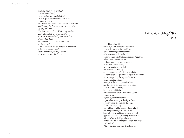*who is a child in the cradle?" Then the child said, "I am indeed a servant of Allah; He has given me revelation and made me a prophet; and He has made me blessed where so ever I be, and has enjoined on me prayer and charity as long as I live. The Lord has made me kind to my mother, and not overbearing or miserable; so peace is on me the day that I was born, the day that I die, and the day that I shall be raised up to life again!" That is the story of 'Isa, the son of Maryam; it is a statement of truth, about which they vainly dispute; so it is written in the Qur'an.* 

In the Bible, it is written that Mary's baby was born in Bethlehem, the city she was traveling to with Joseph. Joseph had to register himself there, as he was a descendant of David. This was ordered by the Roman emperor Augustus. While they were in Bethlehem, the time came for the baby to be born. Mary gave birth to her son, wrapped him in strips of cloth and laid him in a manger, as there was no room for them to stay in the inn. There were some shepherds in that part of the country who were spending the night in the fields, taking care of their flocks. An angel of the Lord appeared to them, and the glory of the Lord shone over them. They were terribly afraid; but the angel said to them, "Don't be afraid, for see—I am bringing you good news of great joy for all the people: to you is born this day in the city of David a Savior, who is the Messiah, the Lord. This will be a sign for you: you will find a child wrapped in bands of cloth and lying in a manger" (Luke 2:10–12). Suddenly a great multitude of heaven's angels appeared with the angel, singing praises to God, "Glory to God in the highest heaven, and on earth peace among those whom he favors!" (Luke 2:14) When the angels went away from them and

The Child Jesus/`Isa *(Luke 2)*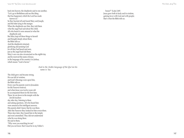2.46 is view as considered to condition the state of the state of the state of the state of the state of the state of the state of the state of the state of the state of the state of the state of the state of the state of back into heaven, the shepherds said to one another, "Let's go to Bethlehem and see this thing that has happened, which the Lord has made known us." So they hurried off and found Mary and Joseph, and the babe lying in the manger. When the shepherds saw him, they told them what the angel had said about this child. All who heard it were amazed at what the shepherds said. But Mary kept all these things to herself and thought deeply about them, the Bible tells us. And the shepherds returned, glorifying and praising God for all they had heard and seen, just as the angel had told them. Mary's son was also circumcised on the eighth day and he received the name of Jesus; in the language of his country it is Joshua, which means "God is Savior."

*And in the Arabic language of the Qur'an his name is 'Isa.*

The child grew and became strong. He was full of wisdom, and God's blessings were upon him, the Bible tells us. Every year his parents went to Jerusalem for the Passover festival; and when Jesus was twelve years old he accompanied them for the first time. There, he sat down in the temple with the Jewish teachers day after day, listening to them and asking questions. All who heard him were amazed at his intelligent answers. His parents didn't know that he was there. After the Passover they looked for him everywhere. Three days later, they found him in the temple and were astonished. They did not understand what he was doing there. He said to them, "Why were you searching for me? Did you not know that I must be in my Father's

house?" (Luke 2:49) Jesus grew both in body and in wisdom, gaining favor with God and with people; that's what the Bible tells us.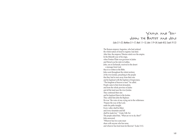# YAHYA AND 'ISA-<br>JOHN THE BAPTIST AND JESUS

### *(Luke 3:1–22; Matthew 3:1–17; Mark 1:1–13; John 1:19–34; Isaiah 40:3; Surah 19:12)*

The Roman emperor Augustus, who had ordered the whole nation of Israel to register, had died. After him, the emperor Tiberius ruled over the empire. In the fifteenth year of his reign, when Pontius Pilate was governor in Judea and Herod was his ruler in Galilee, John, son of Zechariah, received in the desert a message from God; thus it is written in the Bible. John went throughout the whole territory of the river Jordan, preaching to the people that they had to turn away from their sins and be baptized with the baptism of forgiveness. "The kingdom of heaven is near!" he called. People came to him from Jerusalem, and from the whole province of Judea and all the land near the river Jordan. They confessed their sins and he baptized them in the Jordan. They called him John the Baptizer. He was "the voice of one crying out in the wilderness: 'Prepare the way of the Lord, make his paths straight. Every valley shall be filled, and every mountain and hill shall be made low' " (Luke 3:4b–5a). The people asked him, "What are we to do, then?" John answered, "Whoever has two coats must share with anyone who has none; and whoever has food must do likewise" (Luke 3:11).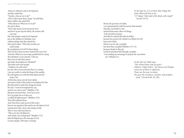Let  $\mathcal{L}_0 = \mathcal{L}_0 = \mathcal{L}_0 = \mathcal{L}_0 = \mathcal{L}_0 = \mathcal{L}_0 = \mathcal{L}_0 = \mathcal{L}_0 = \mathcal{L}_0 = \mathcal{L}_0 = \mathcal{L}_0 = \mathcal{L}_0 = \mathcal{L}_0 = \mathcal{L}_0 = \mathcal{L}_0 = \mathcal{L}_0 = \mathcal{L}_0 = \mathcal{L}_0 = \mathcal{L}_0 = \mathcal{L}_0 = \mathcal{L}_0 = \mathcal{L}_0 = \mathcal{L}_0 = \mathcal{L}_0 = \mathcal{L}_0 = \mathcal{L}_0 = \mathcal{L}_0 =$  Some tax collectors came to be baptized, and they asked him, "Teacher, what are we to do?" "Don't collect more than is legal," he told them. Some soldiers also asked him, "What about us? What are we to do?" He said to them, "Don't take money from anyone by force and don't accuse anyone falsely. Be content with your pay." But some people wanted to be baptized just as the children of Abraham were, without asking what they should do, John said to them, "Who told you that you could escape the punishment of God? Do those things that will show that you have turned from your sins! And don't think you can escape punishment by saying that Abraham is your ancestor. I tell you that God can take these stones and make descendants for Abraham!" Then John said to the people, "I baptize you with water; but one who is more powerful than I is coming: I am not worthy to untie the thong of his sandals. He will baptize you with the Holy Spirit and fire" (Luke 3:16). At that time, Jesus arrived from Galilee and came to John at the Jordan to be baptized by him. But John tried to make him change his mind. He said, "I need to be baptized by you, and do you come to me?" (Matthew 3:14). But Jesus answered him, "Let it be so now; for it is proper for us in this way to fulfill all righteousness" (Matthew 3:15). Then John baptized Jesus. And when Jesus came up out of the water, heaven was opened to him and he saw the Spirit of God coming down like a dove and resting on him. Then a voice said from heaven, "This is my Son, the Beloved, with whom I am well pleased" (Matthew 3:17). John the Baptist gave the message of God to many people, with many warnings.

*In the Qur'an, it is written that Yahya did what Allah told him to do: "O Yahya! Take hold of the Book with might" (Surah 19:12).* 

Herod, the governor of Galilee, was reprimanded by John because he had married Herodias, his brother's wife, and had done many other evil things. So he put John in prison. And later he ordered that John be killed, because his second wife wished it so (Mark 6:14–29). Jesus said of John that he was not only a prophet but more than a prophet (Matthew 11:7–11), because already in the past God had said about him through a prophet, "I am sending my messenger to prepare the way before me" (Malachi 3:1).

> *In the Qur'an Allah says, "We reward those who do good— Zakaria, Yahya (John), 'Isa (Jesus) and Eliyah, every one of them is righteous. Those are the ones to whom We gave the Scripture, wisdom, and prophet hood" (Surah 6:84–85. 89).*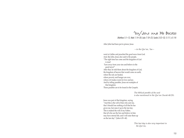## 'Isa/Jesus and His Disciples

*(Matthew 5:1–12; Mark 1:14–20; Luke 7:18–23; Surahs 3:52–53; 5:111; 61:14)*

After John had been put in prison, Jesus

*—in the Qur'an, 'Isa—*

went to Galilee and preached the good news from God. And, like John, Jesus also said to the people, "The right time has come and the kingdom of God is near! Turn away from your sins and believe in the good news!" After that, he told them about the kingdom of God, the kingdom of heaven that would come on earth, where the sick are healed, where poverty and hunger are over, where evil makes room for love and joy. And by telling parables, Jesus set examples of that kingdom. Those parables are to be found in the Gospels.

> *The biblical parable of the seed is also mentioned in the Qur'an (Surah 48:29).*

Jesus was part of that kingdom, saying, "And this is the will of him who sent me, that I should lose nothing of all that he has given me, but raise it up in the last day. This is indeed the will of my Father, that all who see the Son and believe in him may have eternal life; and I will raise them up on the last day" ( John 6:39–40).

> *This last day is also very important in the Qur'an,*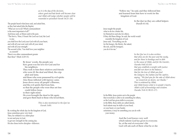*as it is the day of the decision, where good and bad deeds will become clear and Allah will judge whether people will be rewarded or punished (Surah 14:21–24).* 

The people heard what Jesus said, and asked him, as they had asked John the Baptist, "What are we to do? Which commandment is the most important of all?" And Jesus said, as Moses said in the past, "The first is, 'Hear, O Israel: the Lord our God, the Lord is one; you shall love the Lord your God with all your heart, and with all your soul, and with all your mind, and with all your strength.' The second is this, 'You shall love your neighbor as yourself.' There is no other commandment greater than these" (Mark 12:29–31).

> By Jesus' words, the people saw how great was his love for God and for his neighbors. They took to him their relatives and friends who were ill: the deaf and blind, the crippled and lame, and those who were possessed by evil spirits. Also those inflicted with leprosy came. Jesus drove away all people's illnesses, and the evil spirits fled from him, so that the people who were thus set free could follow Jesus in their right mind. He even brought the dead to life again and gave them back to those who loved them.

> > *This is also mentioned in the Qur'an (Surah 3:49).*

By working the whole day for the kingdom of God, Jesus sometimes grew very tired. Then, he withdrew to a silent place to rest and pray to God, to get new strength for the coming day. He also chose twelve disciples—followers.

"Follow me," he said, and they followed him and learned from him how to work for the kingdom of God.

> In the Qur'an they are called helpers (Surah 61:14).

Jesus taught the people what to do for a better life, for themselves and also for others. If they did these things, he said, the world would resemble the kingdom of God. Jesus said, "Everything you do for the hungry, the thirsty, the naked, the sick, and the foreigner, you do it for me."

> *In the Qur'an it is also written that alms are for the poor and the needy, and for those in bondage and in debt in the cause of Allah, and for the traveler, (Surahs 9:60; 63:10) that you establish a weight with justice and fall not short in the balance, that for the love of Allah you feed the indigent, the orphan and the captive, saying, "We feed you for the sake of Allah alone: no reward do we desire, nor thanks." This is ordained by Allah; and Allah knows what is in people's hearts. Allah is full of knowledge and wisdom. (Surahs 76:8–9; 90:15–17).*

In the Bible, Jesus points out to the people that everybody is able to do something for others, as the Lord has given skills to everyone; in the Bible, those skills are called talents. Such talents may be skills of your head, or your heart, or your hands; sometimes, it may be something you can do with your money.

> And the Lord knows very well which talents God has given to everyone. So, at the end of everyone's life God will ask each of them what he or she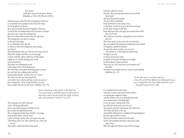has done with the talent God gave them (Matthew 25:14–30; Surah 14:51).

Nobody knows when that day of judgment will come, so everybody has to prepare and always be ready for the kingdom of heaven. Jesus told a parable about the kingdom of heaven: It will be like ten bridesmaids who took their oil lamps and went out to meet the bridegroom. But five of them did not take extra oil with them. The bridegroom was late in coming, so the girls fell asleep. It was midnight when the call to announce that the bridegroom was coming was heard. The bridesmaids woke up. The five who had extra oil filled their lamps, but there was not enough to share with the others; otherwise all the lamps might go out and the bridegroom would come in darkness. The other five bridesmaids went to the shop to buy oil for themselves. But while they were gone, the bridegroom arrived; he went into the wedding feast with the bridesmaids present, and the door was closed. The other five had not welcomed him, so he didn't know them and they could not come in. Jesus concluded, "Keep awake therefore, for you know neither the day nor the hour" (Matthew 25:1–13).

> *Such a warning is also given in the Qur'an; it is a warning to unbelieving men and women, that they cannot borrow from the light of others who were prepared (Surah 57:12–14).*

This message was told in the past and is still being told today. Jesus warned the people on behalf of God, just as John the Baptist had done. But, as happened in the time of John's warnings, some people didn't want to listen to the warnings of Jesus; they got angry and said, "He behaves like God. The words he says, only God can say." They didn't understand that Jesus spoke

with the authority of God; and they did not understand that it was with the Holy Spirit that Jesus healed the people and gave them wholeness. Some preferred to force Jesus away, so that they would not need to hear his warnings. In fact, they wanted to kill him. Jesus did know that, and again he warned them (Matthew 21:33–46). They tried to accuse him of blasphemy, but could not prove it. Then they made up lies and, after several trials, they succeeded in having Jesus condemned and crucified at Golgotha, outside Jerusalem. At noon the whole country was covered with darkness, which lasted for three hours. No light was seen, no Word of God gave help, no Spirit of God gave healing and strength. In that darkness, Jesus cried out, "My God, my God, why have you forsaken me?" and died. His body was carefully laid in a tomb by good friends (Matthew 26—27).

> *In the Qur'an it is written that the Jews did not kill the Masih 'Isa (Messiah Jesus), nor crucify him, but that Allah took him up to himself (Surah 4:157–158).*

It is written that two days later, when the women came to the tomb of Jesus, an earthquake suddenly began, and the soldiers who were guarding the tomb were surprised by a blinding light. It was an angel, coming from God; he rolled the stone away and sat on it. The guards trembled and became like dead men. Then they fled back to the city and told the chief priests everything that had happened. But the angel told the women that Jesus had been raised from the dead, and he showed them the place where Jesus had been lying. Then the angel told them to report this message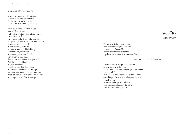### to the disciples (Matthew 28:1–7).

Jesus himself appeared to the disciples. "Peace be upon you," he said to them. And he breathed on them, saying, "Receive the Holy Spirit!" ( John 20:22)

When it was his time to return to God, Jesus told his disciples —also called apostles—to go into the world. The Bible tells us this. They were to make all people his disciples, to baptize them and to teach them how to follow Jesus in his words and deeds. All that Jesus taught and did has been written in the biblical Gospels. Some time later, at Pentecost, when many people from abroad were present in Jerusalem, the disciples received the Holy Spirit of God. With the gift of the Holy Spirit they told all present about the coming kingdom of heaven. And everyone understood the message, no matter what country he or she came from. After Pentecost, the apostles went into the world with the good news of Jesus' message.

Jesus/'Isa

*[Section from Bible]* 

The messages to the people of Israel from the time before Jesus were already included in the Torah of Israel; they are also included in the Bible, together with the message of Jesus—the Gospel

*—in the Qur'an called the Injil.*

Letters and acts of the apostles (disciples) are also included in the Bible. The last book of the Bible mentions Jesus' revelation to the apostle John. In this book there is a description of how beautiful everything will be when a new heaven and a new earth appear. Then God will wipe away all tears from the eyes of all people who suffer from pain and sadness. [End Section]